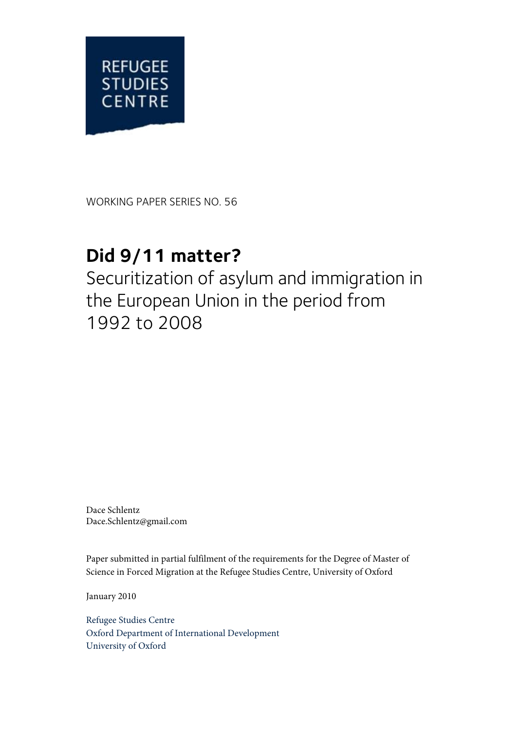

WORKING PAPER SERIES NO. 56

# **Did 9/11 matter?**

Securitization of asylum and immigration in the European Union in the period from 1992 to 2008

Dace Schlentz Dace.Schlentz@gmail.com

Paper submitted in partial fulfilment of the requirements for the Degree of Master of Science in Forced Migration at the Refugee Studies Centre, University of Oxford

January 2010

Refugee Studies Centre Oxford Department of International Development University of Oxford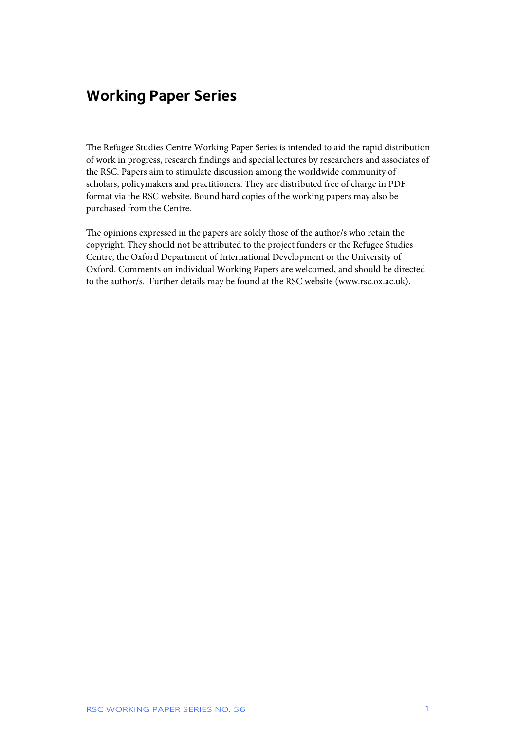## **Working Paper Series**

The Refugee Studies Centre Working Paper Series is intended to aid the rapid distribution of work in progress, research findings and special lectures by researchers and associates of the RSC. Papers aim to stimulate discussion among the worldwide community of scholars, policymakers and practitioners. They are distributed free of charge in PDF format via the RSC website. Bound hard copies of the working papers may also be purchased from the Centre.

The opinions expressed in the papers are solely those of the author/s who retain the copyright. They should not be attributed to the project funders or the Refugee Studies Centre, the Oxford Department of International Development or the University of Oxford. Comments on individual Working Papers are welcomed, and should be directed to the author/s. Further details may be found at the RSC website (www.rsc.ox.ac.uk).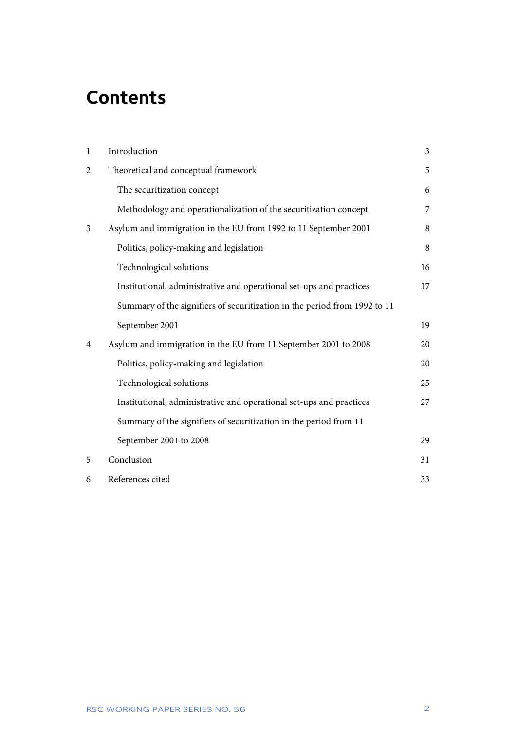## **Contents**

| $\mathbf{1}$            | Introduction                                                              | 3              |
|-------------------------|---------------------------------------------------------------------------|----------------|
| $\overline{c}$          | Theoretical and conceptual framework                                      | 5              |
|                         | The securitization concept                                                | 6              |
|                         | Methodology and operationalization of the securitization concept          | $\overline{7}$ |
| 3                       | Asylum and immigration in the EU from 1992 to 11 September 2001           | 8              |
|                         | Politics, policy-making and legislation                                   | 8              |
|                         | Technological solutions                                                   | 16             |
|                         | Institutional, administrative and operational set-ups and practices       | 17             |
|                         | Summary of the signifiers of securitization in the period from 1992 to 11 |                |
|                         | September 2001                                                            | 19             |
| $\overline{\mathbf{4}}$ | Asylum and immigration in the EU from 11 September 2001 to 2008           | 20             |
|                         | Politics, policy-making and legislation                                   | 20             |
|                         | Technological solutions                                                   | 25             |
|                         | Institutional, administrative and operational set-ups and practices       | 27             |
|                         | Summary of the signifiers of securitization in the period from 11         |                |
|                         | September 2001 to 2008                                                    | 29             |
| 5                       | Conclusion                                                                | 31             |
| 6                       | References cited                                                          | 33             |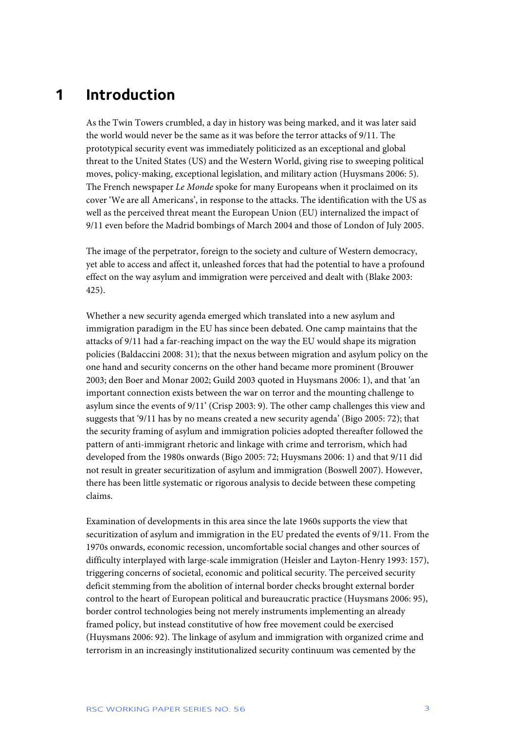### **1 Introduction**

As the Twin Towers crumbled, a day in history was being marked, and it was later said the world would never be the same as it was before the terror attacks of 9/11. The prototypical security event was immediately politicized as an exceptional and global threat to the United States (US) and the Western World, giving rise to sweeping political moves, policy-making, exceptional legislation, and military action (Huysmans 2006: 5). The French newspaper *Le Monde* spoke for many Europeans when it proclaimed on its cover 'We are all Americans', in response to the attacks. The identification with the US as well as the perceived threat meant the European Union (EU) internalized the impact of 9/11 even before the Madrid bombings of March 2004 and those of London of July 2005.

The image of the perpetrator, foreign to the society and culture of Western democracy, yet able to access and affect it, unleashed forces that had the potential to have a profound effect on the way asylum and immigration were perceived and dealt with (Blake 2003: 425).

Whether a new security agenda emerged which translated into a new asylum and immigration paradigm in the EU has since been debated. One camp maintains that the attacks of 9/11 had a far-reaching impact on the way the EU would shape its migration policies (Baldaccini 2008: 31); that the nexus between migration and asylum policy on the one hand and security concerns on the other hand became more prominent (Brouwer 2003; den Boer and Monar 2002; Guild 2003 quoted in Huysmans 2006: 1), and that 'an important connection exists between the war on terror and the mounting challenge to asylum since the events of 9/11' (Crisp 2003: 9). The other camp challenges this view and suggests that '9/11 has by no means created a new security agenda' (Bigo 2005: 72); that the security framing of asylum and immigration policies adopted thereafter followed the pattern of anti-immigrant rhetoric and linkage with crime and terrorism, which had developed from the 1980s onwards (Bigo 2005: 72; Huysmans 2006: 1) and that 9/11 did not result in greater securitization of asylum and immigration (Boswell 2007). However, there has been little systematic or rigorous analysis to decide between these competing claims.

Examination of developments in this area since the late 1960s supports the view that securitization of asylum and immigration in the EU predated the events of 9/11. From the 1970s onwards, economic recession, uncomfortable social changes and other sources of difficulty interplayed with large-scale immigration (Heisler and Layton-Henry 1993: 157), triggering concerns of societal, economic and political security. The perceived security deficit stemming from the abolition of internal border checks brought external border control to the heart of European political and bureaucratic practice (Huysmans 2006: 95), border control technologies being not merely instruments implementing an already framed policy, but instead constitutive of how free movement could be exercised (Huysmans 2006: 92). The linkage of asylum and immigration with organized crime and terrorism in an increasingly institutionalized security continuum was cemented by the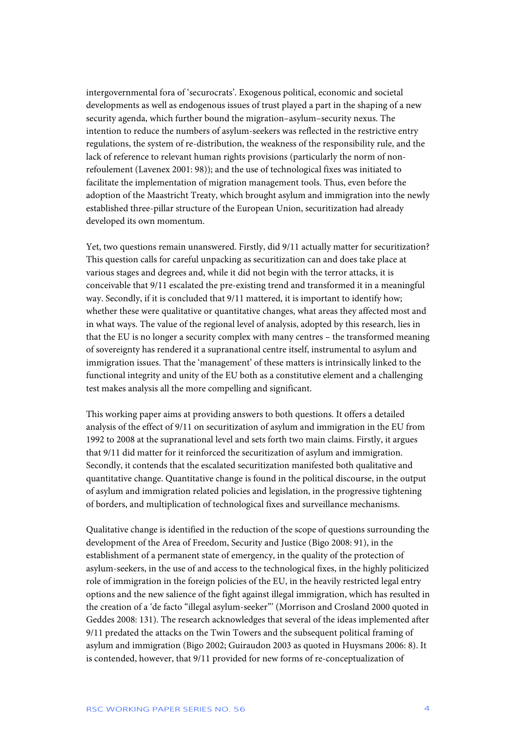intergovernmental fora of 'securocrats'. Exogenous political, economic and societal developments as well as endogenous issues of trust played a part in the shaping of a new security agenda, which further bound the migration–asylum–security nexus. The intention to reduce the numbers of asylum-seekers was reflected in the restrictive entry regulations, the system of re-distribution, the weakness of the responsibility rule, and the lack of reference to relevant human rights provisions (particularly the norm of nonrefoulement (Lavenex 2001: 98)); and the use of technological fixes was initiated to facilitate the implementation of migration management tools. Thus, even before the adoption of the Maastricht Treaty, which brought asylum and immigration into the newly established three-pillar structure of the European Union, securitization had already developed its own momentum.

Yet, two questions remain unanswered. Firstly, did 9/11 actually matter for securitization? This question calls for careful unpacking as securitization can and does take place at various stages and degrees and, while it did not begin with the terror attacks, it is conceivable that 9/11 escalated the pre-existing trend and transformed it in a meaningful way. Secondly, if it is concluded that 9/11 mattered, it is important to identify how; whether these were qualitative or quantitative changes, what areas they affected most and in what ways. The value of the regional level of analysis, adopted by this research, lies in that the EU is no longer a security complex with many centres – the transformed meaning of sovereignty has rendered it a supranational centre itself, instrumental to asylum and immigration issues. That the 'management' of these matters is intrinsically linked to the functional integrity and unity of the EU both as a constitutive element and a challenging test makes analysis all the more compelling and significant.

This working paper aims at providing answers to both questions. It offers a detailed analysis of the effect of 9/11 on securitization of asylum and immigration in the EU from 1992 to 2008 at the supranational level and sets forth two main claims. Firstly, it argues that 9/11 did matter for it reinforced the securitization of asylum and immigration. Secondly, it contends that the escalated securitization manifested both qualitative and quantitative change. Quantitative change is found in the political discourse, in the output of asylum and immigration related policies and legislation, in the progressive tightening of borders, and multiplication of technological fixes and surveillance mechanisms.

Qualitative change is identified in the reduction of the scope of questions surrounding the development of the Area of Freedom, Security and Justice (Bigo 2008: 91), in the establishment of a permanent state of emergency, in the quality of the protection of asylum-seekers, in the use of and access to the technological fixes, in the highly politicized role of immigration in the foreign policies of the EU, in the heavily restricted legal entry options and the new salience of the fight against illegal immigration, which has resulted in the creation of a 'de facto "illegal asylum-seeker"' (Morrison and Crosland 2000 quoted in Geddes 2008: 131). The research acknowledges that several of the ideas implemented after 9/11 predated the attacks on the Twin Towers and the subsequent political framing of asylum and immigration (Bigo 2002; Guiraudon 2003 as quoted in Huysmans 2006: 8). It is contended, however, that 9/11 provided for new forms of re-conceptualization of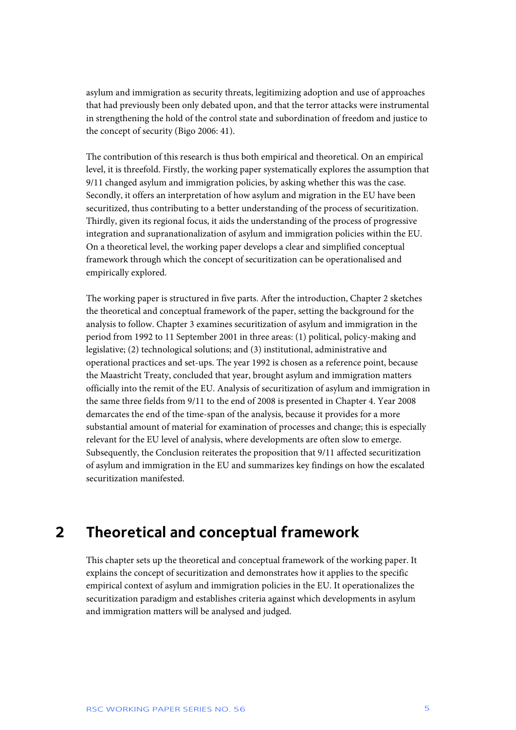asylum and immigration as security threats, legitimizing adoption and use of approaches that had previously been only debated upon, and that the terror attacks were instrumental in strengthening the hold of the control state and subordination of freedom and justice to the concept of security (Bigo 2006: 41).

The contribution of this research is thus both empirical and theoretical. On an empirical level, it is threefold. Firstly, the working paper systematically explores the assumption that 9/11 changed asylum and immigration policies, by asking whether this was the case. Secondly, it offers an interpretation of how asylum and migration in the EU have been securitized, thus contributing to a better understanding of the process of securitization. Thirdly, given its regional focus, it aids the understanding of the process of progressive integration and supranationalization of asylum and immigration policies within the EU. On a theoretical level, the working paper develops a clear and simplified conceptual framework through which the concept of securitization can be operationalised and empirically explored.

The working paper is structured in five parts. After the introduction, Chapter 2 sketches the theoretical and conceptual framework of the paper, setting the background for the analysis to follow. Chapter 3 examines securitization of asylum and immigration in the period from 1992 to 11 September 2001 in three areas: (1) political, policy-making and legislative; (2) technological solutions; and (3) institutional, administrative and operational practices and set-ups. The year 1992 is chosen as a reference point, because the Maastricht Treaty, concluded that year, brought asylum and immigration matters officially into the remit of the EU. Analysis of securitization of asylum and immigration in the same three fields from 9/11 to the end of 2008 is presented in Chapter 4. Year 2008 demarcates the end of the time-span of the analysis, because it provides for a more substantial amount of material for examination of processes and change; this is especially relevant for the EU level of analysis, where developments are often slow to emerge. Subsequently, the Conclusion reiterates the proposition that 9/11 affected securitization of asylum and immigration in the EU and summarizes key findings on how the escalated securitization manifested.

### **2 Theoretical and conceptual framework**

This chapter sets up the theoretical and conceptual framework of the working paper. It explains the concept of securitization and demonstrates how it applies to the specific empirical context of asylum and immigration policies in the EU. It operationalizes the securitization paradigm and establishes criteria against which developments in asylum and immigration matters will be analysed and judged.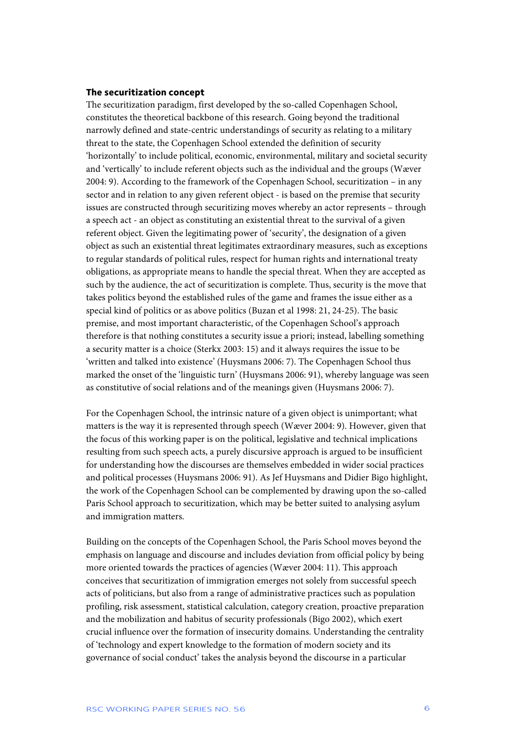#### **The securitization concept**

The securitization paradigm, first developed by the so-called Copenhagen School, constitutes the theoretical backbone of this research. Going beyond the traditional narrowly defined and state-centric understandings of security as relating to a military threat to the state, the Copenhagen School extended the definition of security 'horizontally' to include political, economic, environmental, military and societal security and 'vertically' to include referent objects such as the individual and the groups (Wæver 2004: 9). According to the framework of the Copenhagen School, securitization – in any sector and in relation to any given referent object - is based on the premise that security issues are constructed through securitizing moves whereby an actor represents – through a speech act - an object as constituting an existential threat to the survival of a given referent object. Given the legitimating power of 'security', the designation of a given object as such an existential threat legitimates extraordinary measures, such as exceptions to regular standards of political rules, respect for human rights and international treaty obligations, as appropriate means to handle the special threat. When they are accepted as such by the audience, the act of securitization is complete. Thus, security is the move that takes politics beyond the established rules of the game and frames the issue either as a special kind of politics or as above politics (Buzan et al 1998: 21, 24-25). The basic premise, and most important characteristic, of the Copenhagen School's approach therefore is that nothing constitutes a security issue a priori; instead, labelling something a security matter is a choice (Sterkx 2003: 15) and it always requires the issue to be 'written and talked into existence' (Huysmans 2006: 7). The Copenhagen School thus marked the onset of the 'linguistic turn' (Huysmans 2006: 91), whereby language was seen as constitutive of social relations and of the meanings given (Huysmans 2006: 7).

For the Copenhagen School, the intrinsic nature of a given object is unimportant; what matters is the way it is represented through speech (Wæver 2004: 9). However, given that the focus of this working paper is on the political, legislative and technical implications resulting from such speech acts, a purely discursive approach is argued to be insufficient for understanding how the discourses are themselves embedded in wider social practices and political processes (Huysmans 2006: 91). As Jef Huysmans and Didier Bigo highlight, the work of the Copenhagen School can be complemented by drawing upon the so-called Paris School approach to securitization, which may be better suited to analysing asylum and immigration matters.

Building on the concepts of the Copenhagen School, the Paris School moves beyond the emphasis on language and discourse and includes deviation from official policy by being more oriented towards the practices of agencies (Wæver 2004: 11). This approach conceives that securitization of immigration emerges not solely from successful speech acts of politicians, but also from a range of administrative practices such as population profiling, risk assessment, statistical calculation, category creation, proactive preparation and the mobilization and habitus of security professionals (Bigo 2002), which exert crucial influence over the formation of insecurity domains. Understanding the centrality of 'technology and expert knowledge to the formation of modern society and its governance of social conduct' takes the analysis beyond the discourse in a particular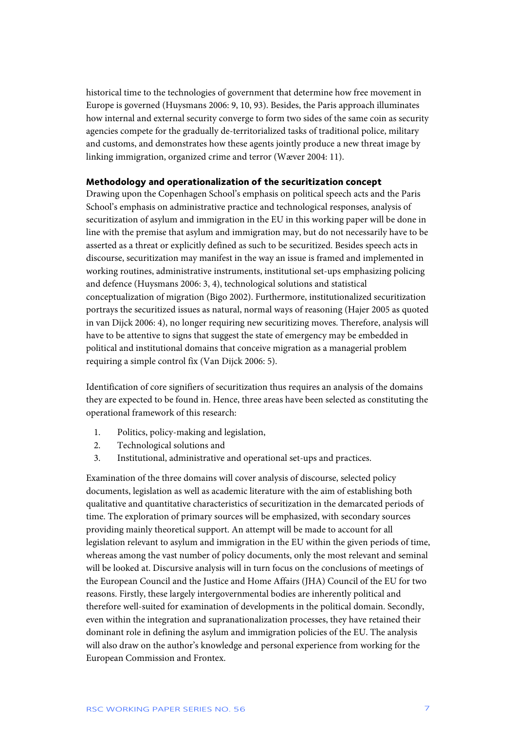historical time to the technologies of government that determine how free movement in Europe is governed (Huysmans 2006: 9, 10, 93). Besides, the Paris approach illuminates how internal and external security converge to form two sides of the same coin as security agencies compete for the gradually de-territorialized tasks of traditional police, military and customs, and demonstrates how these agents jointly produce a new threat image by linking immigration, organized crime and terror (Wæver 2004: 11).

#### **Methodology and operationalization of the securitization concept**

Drawing upon the Copenhagen School's emphasis on political speech acts and the Paris School's emphasis on administrative practice and technological responses, analysis of securitization of asylum and immigration in the EU in this working paper will be done in line with the premise that asylum and immigration may, but do not necessarily have to be asserted as a threat or explicitly defined as such to be securitized. Besides speech acts in discourse, securitization may manifest in the way an issue is framed and implemented in working routines, administrative instruments, institutional set-ups emphasizing policing and defence (Huysmans 2006: 3, 4), technological solutions and statistical conceptualization of migration (Bigo 2002). Furthermore, institutionalized securitization portrays the securitized issues as natural, normal ways of reasoning (Hajer 2005 as quoted in van Dijck 2006: 4), no longer requiring new securitizing moves. Therefore, analysis will have to be attentive to signs that suggest the state of emergency may be embedded in political and institutional domains that conceive migration as a managerial problem requiring a simple control fix (Van Dijck 2006: 5).

Identification of core signifiers of securitization thus requires an analysis of the domains they are expected to be found in. Hence, three areas have been selected as constituting the operational framework of this research:

- 1. Politics, policy-making and legislation,
- 2. Technological solutions and
- 3. Institutional, administrative and operational set-ups and practices.

Examination of the three domains will cover analysis of discourse, selected policy documents, legislation as well as academic literature with the aim of establishing both qualitative and quantitative characteristics of securitization in the demarcated periods of time. The exploration of primary sources will be emphasized, with secondary sources providing mainly theoretical support. An attempt will be made to account for all legislation relevant to asylum and immigration in the EU within the given periods of time, whereas among the vast number of policy documents, only the most relevant and seminal will be looked at. Discursive analysis will in turn focus on the conclusions of meetings of the European Council and the Justice and Home Affairs (JHA) Council of the EU for two reasons. Firstly, these largely intergovernmental bodies are inherently political and therefore well-suited for examination of developments in the political domain. Secondly, even within the integration and supranationalization processes, they have retained their dominant role in defining the asylum and immigration policies of the EU. The analysis will also draw on the author's knowledge and personal experience from working for the European Commission and Frontex.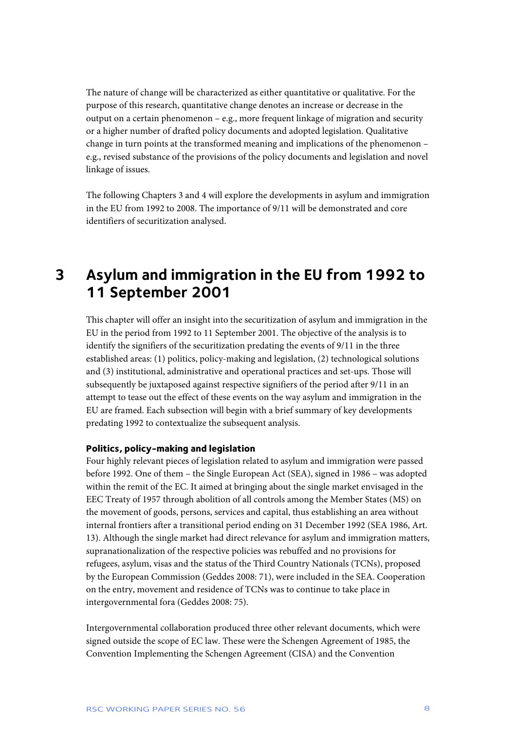The nature of change will be characterized as either quantitative or qualitative. For the purpose of this research, quantitative change denotes an increase or decrease in the output on a certain phenomenon – e.g., more frequent linkage of migration and security or a higher number of drafted policy documents and adopted legislation. Qualitative change in turn points at the transformed meaning and implications of the phenomenon – e.g., revised substance of the provisions of the policy documents and legislation and novel linkage of issues.

The following Chapters 3 and 4 will explore the developments in asylum and immigration in the EU from 1992 to 2008. The importance of 9/11 will be demonstrated and core identifiers of securitization analysed.

### **3 Asylum and immigration in the EU from 1992 to 11 September 2001**

This chapter will offer an insight into the securitization of asylum and immigration in the EU in the period from 1992 to 11 September 2001. The objective of the analysis is to identify the signifiers of the securitization predating the events of 9/11 in the three established areas: (1) politics, policy-making and legislation, (2) technological solutions and (3) institutional, administrative and operational practices and set-ups. Those will subsequently be juxtaposed against respective signifiers of the period after 9/11 in an attempt to tease out the effect of these events on the way asylum and immigration in the EU are framed. Each subsection will begin with a brief summary of key developments predating 1992 to contextualize the subsequent analysis.

#### **Politics, policy-making and legislation**

Four highly relevant pieces of legislation related to asylum and immigration were passed before 1992. One of them – the Single European Act (SEA), signed in 1986 – was adopted within the remit of the EC. It aimed at bringing about the single market envisaged in the EEC Treaty of 1957 through abolition of all controls among the Member States (MS) on the movement of goods, persons, services and capital, thus establishing an area without internal frontiers after a transitional period ending on 31 December 1992 (SEA 1986, Art. 13). Although the single market had direct relevance for asylum and immigration matters, supranationalization of the respective policies was rebuffed and no provisions for refugees, asylum, visas and the status of the Third Country Nationals (TCNs), proposed by the European Commission (Geddes 2008: 71), were included in the SEA. Cooperation on the entry, movement and residence of TCNs was to continue to take place in intergovernmental fora (Geddes 2008: 75).

Intergovernmental collaboration produced three other relevant documents, which were signed outside the scope of EC law. These were the Schengen Agreement of 1985, the Convention Implementing the Schengen Agreement (CISA) and the Convention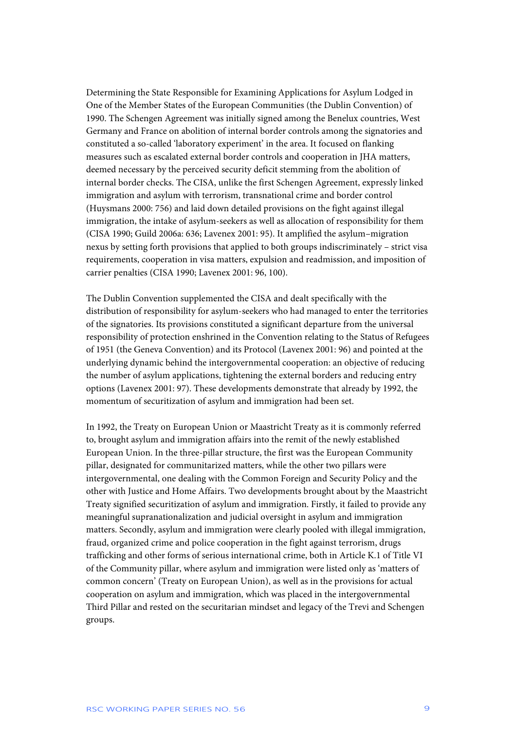Determining the State Responsible for Examining Applications for Asylum Lodged in One of the Member States of the European Communities (the Dublin Convention) of 1990. The Schengen Agreement was initially signed among the Benelux countries, West Germany and France on abolition of internal border controls among the signatories and constituted a so-called 'laboratory experiment' in the area. It focused on flanking measures such as escalated external border controls and cooperation in JHA matters, deemed necessary by the perceived security deficit stemming from the abolition of internal border checks. The CISA, unlike the first Schengen Agreement, expressly linked immigration and asylum with terrorism, transnational crime and border control (Huysmans 2000: 756) and laid down detailed provisions on the fight against illegal immigration, the intake of asylum-seekers as well as allocation of responsibility for them (CISA 1990; Guild 2006a: 636; Lavenex 2001: 95). It amplified the asylum–migration nexus by setting forth provisions that applied to both groups indiscriminately – strict visa requirements, cooperation in visa matters, expulsion and readmission, and imposition of carrier penalties (CISA 1990; Lavenex 2001: 96, 100).

The Dublin Convention supplemented the CISA and dealt specifically with the distribution of responsibility for asylum-seekers who had managed to enter the territories of the signatories. Its provisions constituted a significant departure from the universal responsibility of protection enshrined in the Convention relating to the Status of Refugees of 1951 (the Geneva Convention) and its Protocol (Lavenex 2001: 96) and pointed at the underlying dynamic behind the intergovernmental cooperation: an objective of reducing the number of asylum applications, tightening the external borders and reducing entry options (Lavenex 2001: 97). These developments demonstrate that already by 1992, the momentum of securitization of asylum and immigration had been set.

In 1992, the Treaty on European Union or Maastricht Treaty as it is commonly referred to, brought asylum and immigration affairs into the remit of the newly established European Union. In the three-pillar structure, the first was the European Community pillar, designated for communitarized matters, while the other two pillars were intergovernmental, one dealing with the Common Foreign and Security Policy and the other with Justice and Home Affairs. Two developments brought about by the Maastricht Treaty signified securitization of asylum and immigration. Firstly, it failed to provide any meaningful supranationalization and judicial oversight in asylum and immigration matters. Secondly, asylum and immigration were clearly pooled with illegal immigration, fraud, organized crime and police cooperation in the fight against terrorism, drugs trafficking and other forms of serious international crime, both in Article K.1 of Title VI of the Community pillar, where asylum and immigration were listed only as 'matters of common concern' (Treaty on European Union), as well as in the provisions for actual cooperation on asylum and immigration, which was placed in the intergovernmental Third Pillar and rested on the securitarian mindset and legacy of the Trevi and Schengen groups.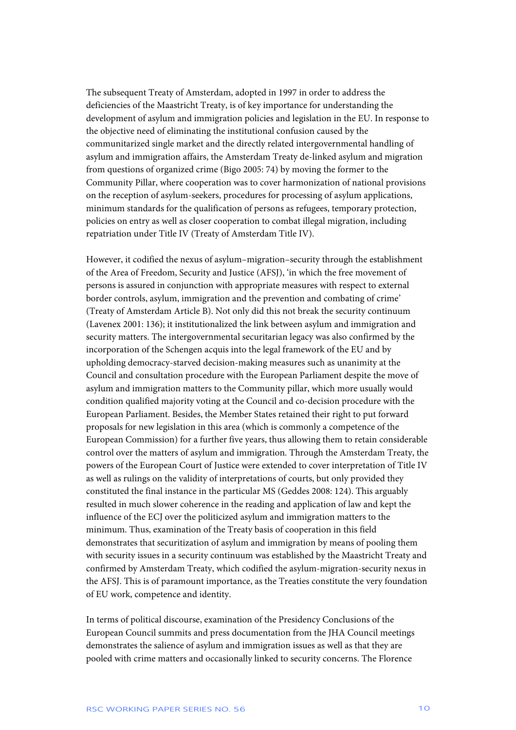The subsequent Treaty of Amsterdam, adopted in 1997 in order to address the deficiencies of the Maastricht Treaty, is of key importance for understanding the development of asylum and immigration policies and legislation in the EU. In response to the objective need of eliminating the institutional confusion caused by the communitarized single market and the directly related intergovernmental handling of asylum and immigration affairs, the Amsterdam Treaty de-linked asylum and migration from questions of organized crime (Bigo 2005: 74) by moving the former to the Community Pillar, where cooperation was to cover harmonization of national provisions on the reception of asylum-seekers, procedures for processing of asylum applications, minimum standards for the qualification of persons as refugees, temporary protection, policies on entry as well as closer cooperation to combat illegal migration, including repatriation under Title IV (Treaty of Amsterdam Title IV).

However, it codified the nexus of asylum–migration–security through the establishment of the Area of Freedom, Security and Justice (AFSJ), 'in which the free movement of persons is assured in conjunction with appropriate measures with respect to external border controls, asylum, immigration and the prevention and combating of crime' (Treaty of Amsterdam Article B). Not only did this not break the security continuum (Lavenex 2001: 136); it institutionalized the link between asylum and immigration and security matters. The intergovernmental securitarian legacy was also confirmed by the incorporation of the Schengen acquis into the legal framework of the EU and by upholding democracy-starved decision-making measures such as unanimity at the Council and consultation procedure with the European Parliament despite the move of asylum and immigration matters to the Community pillar, which more usually would condition qualified majority voting at the Council and co-decision procedure with the European Parliament. Besides, the Member States retained their right to put forward proposals for new legislation in this area (which is commonly a competence of the European Commission) for a further five years, thus allowing them to retain considerable control over the matters of asylum and immigration. Through the Amsterdam Treaty, the powers of the European Court of Justice were extended to cover interpretation of Title IV as well as rulings on the validity of interpretations of courts, but only provided they constituted the final instance in the particular MS (Geddes 2008: 124). This arguably resulted in much slower coherence in the reading and application of law and kept the influence of the ECJ over the politicized asylum and immigration matters to the minimum. Thus, examination of the Treaty basis of cooperation in this field demonstrates that securitization of asylum and immigration by means of pooling them with security issues in a security continuum was established by the Maastricht Treaty and confirmed by Amsterdam Treaty, which codified the asylum-migration-security nexus in the AFSJ. This is of paramount importance, as the Treaties constitute the very foundation of EU work, competence and identity.

In terms of political discourse, examination of the Presidency Conclusions of the European Council summits and press documentation from the JHA Council meetings demonstrates the salience of asylum and immigration issues as well as that they are pooled with crime matters and occasionally linked to security concerns. The Florence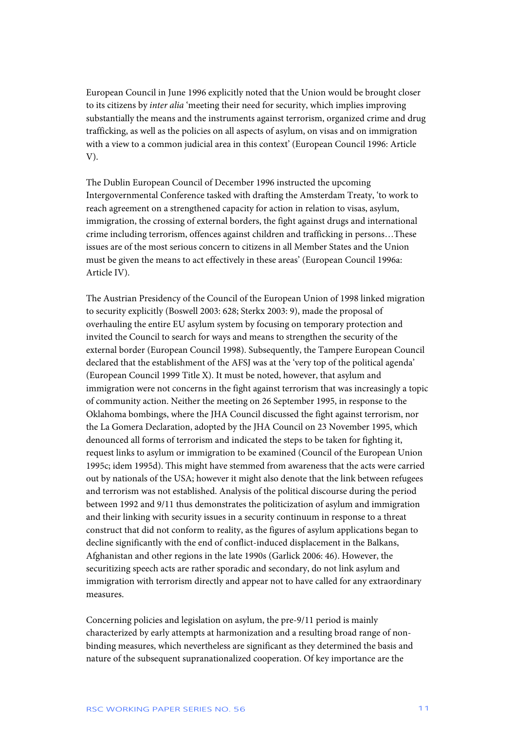European Council in June 1996 explicitly noted that the Union would be brought closer to its citizens by *inter alia* 'meeting their need for security, which implies improving substantially the means and the instruments against terrorism, organized crime and drug trafficking, as well as the policies on all aspects of asylum, on visas and on immigration with a view to a common judicial area in this context' (European Council 1996: Article V).

The Dublin European Council of December 1996 instructed the upcoming Intergovernmental Conference tasked with drafting the Amsterdam Treaty, 'to work to reach agreement on a strengthened capacity for action in relation to visas, asylum, immigration, the crossing of external borders, the fight against drugs and international crime including terrorism, offences against children and trafficking in persons…These issues are of the most serious concern to citizens in all Member States and the Union must be given the means to act effectively in these areas' (European Council 1996a: Article IV).

The Austrian Presidency of the Council of the European Union of 1998 linked migration to security explicitly (Boswell 2003: 628; Sterkx 2003: 9), made the proposal of overhauling the entire EU asylum system by focusing on temporary protection and invited the Council to search for ways and means to strengthen the security of the external border (European Council 1998). Subsequently, the Tampere European Council declared that the establishment of the AFSJ was at the 'very top of the political agenda' (European Council 1999 Title X). It must be noted, however, that asylum and immigration were not concerns in the fight against terrorism that was increasingly a topic of community action. Neither the meeting on 26 September 1995, in response to the Oklahoma bombings, where the JHA Council discussed the fight against terrorism, nor the La Gomera Declaration, adopted by the JHA Council on 23 November 1995, which denounced all forms of terrorism and indicated the steps to be taken for fighting it, request links to asylum or immigration to be examined (Council of the European Union 1995c; idem 1995d). This might have stemmed from awareness that the acts were carried out by nationals of the USA; however it might also denote that the link between refugees and terrorism was not established. Analysis of the political discourse during the period between 1992 and 9/11 thus demonstrates the politicization of asylum and immigration and their linking with security issues in a security continuum in response to a threat construct that did not conform to reality, as the figures of asylum applications began to decline significantly with the end of conflict-induced displacement in the Balkans, Afghanistan and other regions in the late 1990s (Garlick 2006: 46). However, the securitizing speech acts are rather sporadic and secondary, do not link asylum and immigration with terrorism directly and appear not to have called for any extraordinary measures.

Concerning policies and legislation on asylum, the pre-9/11 period is mainly characterized by early attempts at harmonization and a resulting broad range of nonbinding measures, which nevertheless are significant as they determined the basis and nature of the subsequent supranationalized cooperation. Of key importance are the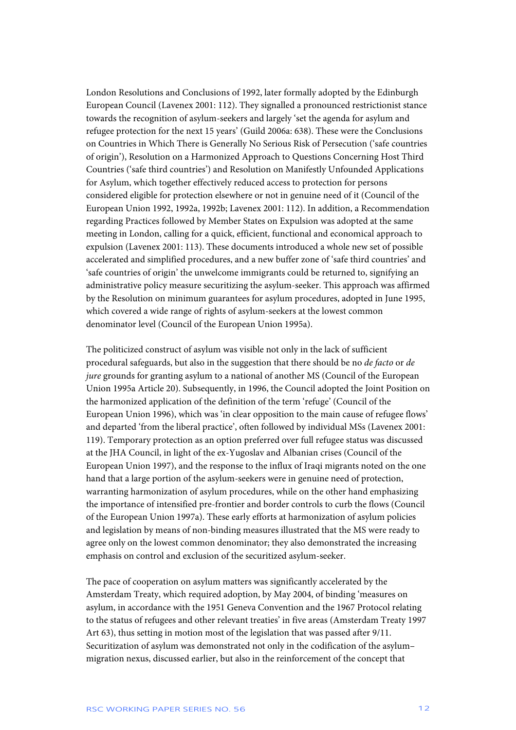London Resolutions and Conclusions of 1992, later formally adopted by the Edinburgh European Council (Lavenex 2001: 112). They signalled a pronounced restrictionist stance towards the recognition of asylum-seekers and largely 'set the agenda for asylum and refugee protection for the next 15 years' (Guild 2006a: 638). These were the Conclusions on Countries in Which There is Generally No Serious Risk of Persecution ('safe countries of origin'), Resolution on a Harmonized Approach to Questions Concerning Host Third Countries ('safe third countries') and Resolution on Manifestly Unfounded Applications for Asylum, which together effectively reduced access to protection for persons considered eligible for protection elsewhere or not in genuine need of it (Council of the European Union 1992, 1992a, 1992b; Lavenex 2001: 112). In addition, a Recommendation regarding Practices followed by Member States on Expulsion was adopted at the same meeting in London, calling for a quick, efficient, functional and economical approach to expulsion (Lavenex 2001: 113). These documents introduced a whole new set of possible accelerated and simplified procedures, and a new buffer zone of 'safe third countries' and 'safe countries of origin' the unwelcome immigrants could be returned to, signifying an administrative policy measure securitizing the asylum-seeker. This approach was affirmed by the Resolution on minimum guarantees for asylum procedures, adopted in June 1995, which covered a wide range of rights of asylum-seekers at the lowest common denominator level (Council of the European Union 1995a).

The politicized construct of asylum was visible not only in the lack of sufficient procedural safeguards, but also in the suggestion that there should be no *de facto* or *de jure* grounds for granting asylum to a national of another MS (Council of the European Union 1995a Article 20). Subsequently, in 1996, the Council adopted the Joint Position on the harmonized application of the definition of the term 'refuge' (Council of the European Union 1996), which was 'in clear opposition to the main cause of refugee flows' and departed 'from the liberal practice', often followed by individual MSs (Lavenex 2001: 119). Temporary protection as an option preferred over full refugee status was discussed at the JHA Council, in light of the ex-Yugoslav and Albanian crises (Council of the European Union 1997), and the response to the influx of Iraqi migrants noted on the one hand that a large portion of the asylum-seekers were in genuine need of protection, warranting harmonization of asylum procedures, while on the other hand emphasizing the importance of intensified pre-frontier and border controls to curb the flows (Council of the European Union 1997a). These early efforts at harmonization of asylum policies and legislation by means of non-binding measures illustrated that the MS were ready to agree only on the lowest common denominator; they also demonstrated the increasing emphasis on control and exclusion of the securitized asylum-seeker.

The pace of cooperation on asylum matters was significantly accelerated by the Amsterdam Treaty, which required adoption, by May 2004, of binding 'measures on asylum, in accordance with the 1951 Geneva Convention and the 1967 Protocol relating to the status of refugees and other relevant treaties' in five areas (Amsterdam Treaty 1997 Art 63), thus setting in motion most of the legislation that was passed after 9/11. Securitization of asylum was demonstrated not only in the codification of the asylum– migration nexus, discussed earlier, but also in the reinforcement of the concept that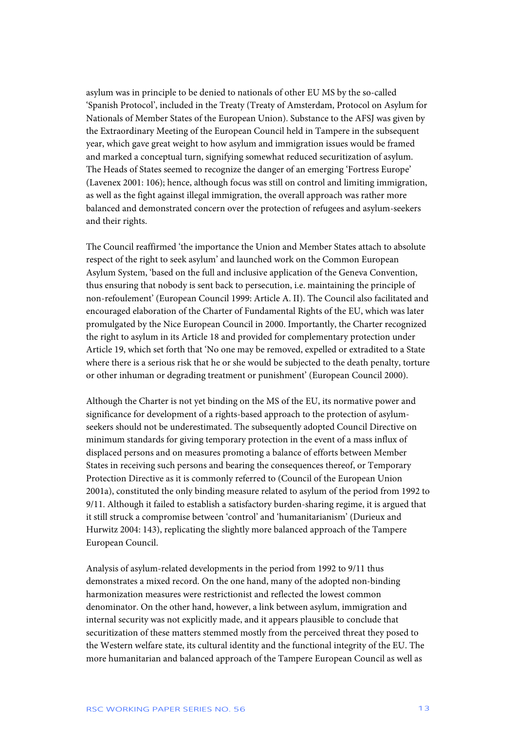asylum was in principle to be denied to nationals of other EU MS by the so-called 'Spanish Protocol', included in the Treaty (Treaty of Amsterdam, Protocol on Asylum for Nationals of Member States of the European Union). Substance to the AFSJ was given by the Extraordinary Meeting of the European Council held in Tampere in the subsequent year, which gave great weight to how asylum and immigration issues would be framed and marked a conceptual turn, signifying somewhat reduced securitization of asylum. The Heads of States seemed to recognize the danger of an emerging 'Fortress Europe' (Lavenex 2001: 106); hence, although focus was still on control and limiting immigration, as well as the fight against illegal immigration, the overall approach was rather more balanced and demonstrated concern over the protection of refugees and asylum-seekers and their rights.

The Council reaffirmed 'the importance the Union and Member States attach to absolute respect of the right to seek asylum' and launched work on the Common European Asylum System, 'based on the full and inclusive application of the Geneva Convention, thus ensuring that nobody is sent back to persecution, i.e. maintaining the principle of non-refoulement' (European Council 1999: Article A. II). The Council also facilitated and encouraged elaboration of the Charter of Fundamental Rights of the EU, which was later promulgated by the Nice European Council in 2000. Importantly, the Charter recognized the right to asylum in its Article 18 and provided for complementary protection under Article 19, which set forth that 'No one may be removed, expelled or extradited to a State where there is a serious risk that he or she would be subjected to the death penalty, torture or other inhuman or degrading treatment or punishment' (European Council 2000).

Although the Charter is not yet binding on the MS of the EU, its normative power and significance for development of a rights-based approach to the protection of asylumseekers should not be underestimated. The subsequently adopted Council Directive on minimum standards for giving temporary protection in the event of a mass influx of displaced persons and on measures promoting a balance of efforts between Member States in receiving such persons and bearing the consequences thereof, or Temporary Protection Directive as it is commonly referred to (Council of the European Union 2001a), constituted the only binding measure related to asylum of the period from 1992 to 9/11. Although it failed to establish a satisfactory burden-sharing regime, it is argued that it still struck a compromise between 'control' and 'humanitarianism' (Durieux and Hurwitz 2004: 143), replicating the slightly more balanced approach of the Tampere European Council.

Analysis of asylum-related developments in the period from 1992 to 9/11 thus demonstrates a mixed record. On the one hand, many of the adopted non-binding harmonization measures were restrictionist and reflected the lowest common denominator. On the other hand, however, a link between asylum, immigration and internal security was not explicitly made, and it appears plausible to conclude that securitization of these matters stemmed mostly from the perceived threat they posed to the Western welfare state, its cultural identity and the functional integrity of the EU. The more humanitarian and balanced approach of the Tampere European Council as well as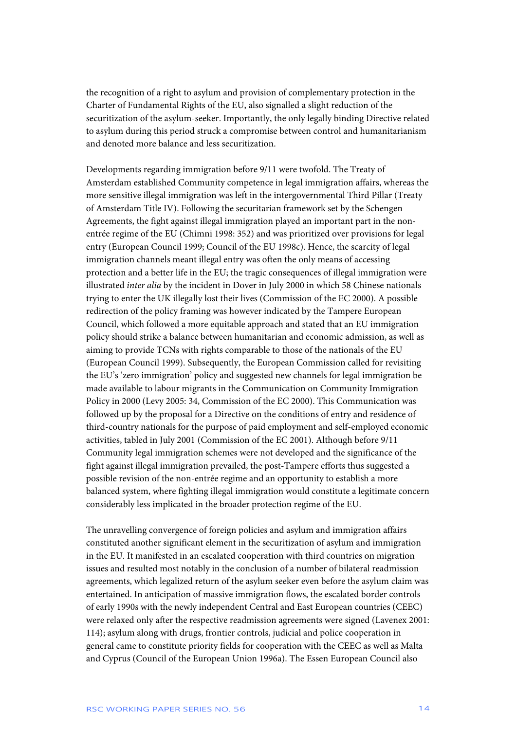the recognition of a right to asylum and provision of complementary protection in the Charter of Fundamental Rights of the EU, also signalled a slight reduction of the securitization of the asylum-seeker. Importantly, the only legally binding Directive related to asylum during this period struck a compromise between control and humanitarianism and denoted more balance and less securitization.

Developments regarding immigration before 9/11 were twofold. The Treaty of Amsterdam established Community competence in legal immigration affairs, whereas the more sensitive illegal immigration was left in the intergovernmental Third Pillar (Treaty of Amsterdam Title IV). Following the securitarian framework set by the Schengen Agreements, the fight against illegal immigration played an important part in the nonentrée regime of the EU (Chimni 1998: 352) and was prioritized over provisions for legal entry (European Council 1999; Council of the EU 1998c). Hence, the scarcity of legal immigration channels meant illegal entry was often the only means of accessing protection and a better life in the EU; the tragic consequences of illegal immigration were illustrated *inter alia* by the incident in Dover in July 2000 in which 58 Chinese nationals trying to enter the UK illegally lost their lives (Commission of the EC 2000). A possible redirection of the policy framing was however indicated by the Tampere European Council, which followed a more equitable approach and stated that an EU immigration policy should strike a balance between humanitarian and economic admission, as well as aiming to provide TCNs with rights comparable to those of the nationals of the EU (European Council 1999). Subsequently, the European Commission called for revisiting the EU's 'zero immigration' policy and suggested new channels for legal immigration be made available to labour migrants in the Communication on Community Immigration Policy in 2000 (Levy 2005: 34, Commission of the EC 2000). This Communication was followed up by the proposal for a Directive on the conditions of entry and residence of third-country nationals for the purpose of paid employment and self-employed economic activities, tabled in July 2001 (Commission of the EC 2001). Although before 9/11 Community legal immigration schemes were not developed and the significance of the fight against illegal immigration prevailed, the post-Tampere efforts thus suggested a possible revision of the non-entrée regime and an opportunity to establish a more balanced system, where fighting illegal immigration would constitute a legitimate concern considerably less implicated in the broader protection regime of the EU.

The unravelling convergence of foreign policies and asylum and immigration affairs constituted another significant element in the securitization of asylum and immigration in the EU. It manifested in an escalated cooperation with third countries on migration issues and resulted most notably in the conclusion of a number of bilateral readmission agreements, which legalized return of the asylum seeker even before the asylum claim was entertained. In anticipation of massive immigration flows, the escalated border controls of early 1990s with the newly independent Central and East European countries (CEEC) were relaxed only after the respective readmission agreements were signed (Lavenex 2001: 114); asylum along with drugs, frontier controls, judicial and police cooperation in general came to constitute priority fields for cooperation with the CEEC as well as Malta and Cyprus (Council of the European Union 1996a). The Essen European Council also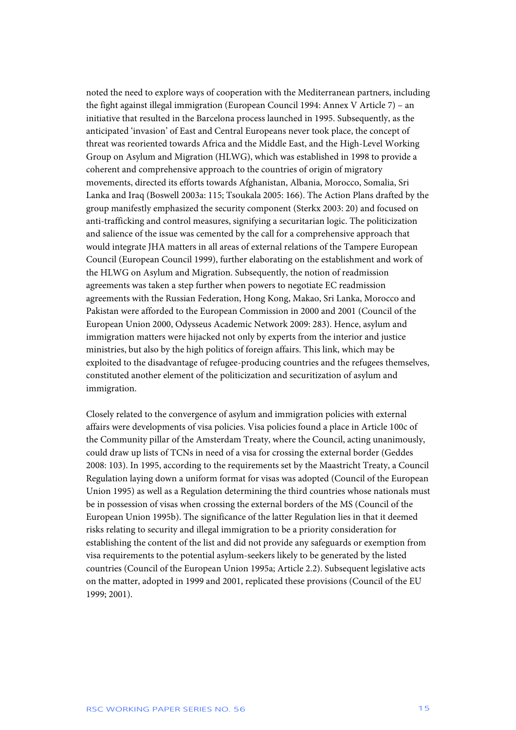noted the need to explore ways of cooperation with the Mediterranean partners, including the fight against illegal immigration (European Council 1994: Annex V Article 7) – an initiative that resulted in the Barcelona process launched in 1995. Subsequently, as the anticipated 'invasion' of East and Central Europeans never took place, the concept of threat was reoriented towards Africa and the Middle East, and the High-Level Working Group on Asylum and Migration (HLWG), which was established in 1998 to provide a coherent and comprehensive approach to the countries of origin of migratory movements, directed its efforts towards Afghanistan, Albania, Morocco, Somalia, Sri Lanka and Iraq (Boswell 2003a: 115; Tsoukala 2005: 166). The Action Plans drafted by the group manifestly emphasized the security component (Sterkx 2003: 20) and focused on anti-trafficking and control measures, signifying a securitarian logic. The politicization and salience of the issue was cemented by the call for a comprehensive approach that would integrate JHA matters in all areas of external relations of the Tampere European Council (European Council 1999), further elaborating on the establishment and work of the HLWG on Asylum and Migration. Subsequently, the notion of readmission agreements was taken a step further when powers to negotiate EC readmission agreements with the Russian Federation, Hong Kong, Makao, Sri Lanka, Morocco and Pakistan were afforded to the European Commission in 2000 and 2001 (Council of the European Union 2000, Odysseus Academic Network 2009: 283). Hence, asylum and immigration matters were hijacked not only by experts from the interior and justice ministries, but also by the high politics of foreign affairs. This link, which may be exploited to the disadvantage of refugee-producing countries and the refugees themselves, constituted another element of the politicization and securitization of asylum and immigration.

Closely related to the convergence of asylum and immigration policies with external affairs were developments of visa policies. Visa policies found a place in Article 100c of the Community pillar of the Amsterdam Treaty, where the Council, acting unanimously, could draw up lists of TCNs in need of a visa for crossing the external border (Geddes 2008: 103). In 1995, according to the requirements set by the Maastricht Treaty, a Council Regulation laying down a uniform format for visas was adopted (Council of the European Union 1995) as well as a Regulation determining the third countries whose nationals must be in possession of visas when crossing the external borders of the MS (Council of the European Union 1995b). The significance of the latter Regulation lies in that it deemed risks relating to security and illegal immigration to be a priority consideration for establishing the content of the list and did not provide any safeguards or exemption from visa requirements to the potential asylum-seekers likely to be generated by the listed countries (Council of the European Union 1995a; Article 2.2). Subsequent legislative acts on the matter, adopted in 1999 and 2001, replicated these provisions (Council of the EU 1999; 2001).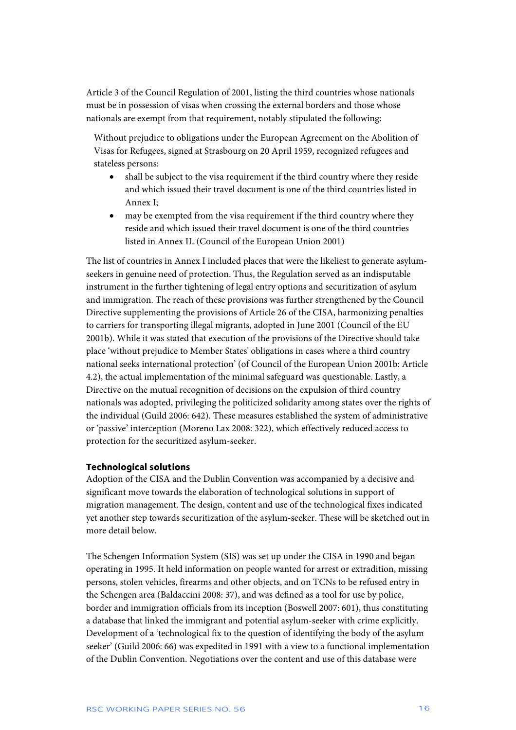Article 3 of the Council Regulation of 2001, listing the third countries whose nationals must be in possession of visas when crossing the external borders and those whose nationals are exempt from that requirement, notably stipulated the following:

Without prejudice to obligations under the European Agreement on the Abolition of Visas for Refugees, signed at Strasbourg on 20 April 1959, recognized refugees and stateless persons:

- shall be subject to the visa requirement if the third country where they reside and which issued their travel document is one of the third countries listed in Annex I;
- may be exempted from the visa requirement if the third country where they reside and which issued their travel document is one of the third countries listed in Annex II. (Council of the European Union 2001)

The list of countries in Annex I included places that were the likeliest to generate asylumseekers in genuine need of protection. Thus, the Regulation served as an indisputable instrument in the further tightening of legal entry options and securitization of asylum and immigration. The reach of these provisions was further strengthened by the Council Directive supplementing the provisions of Article 26 of the CISA, harmonizing penalties to carriers for transporting illegal migrants, adopted in June 2001 (Council of the EU 2001b). While it was stated that execution of the provisions of the Directive should take place 'without prejudice to Member States' obligations in cases where a third country national seeks international protection' (of Council of the European Union 2001b: Article 4.2), the actual implementation of the minimal safeguard was questionable. Lastly, a Directive on the mutual recognition of decisions on the expulsion of third country nationals was adopted, privileging the politicized solidarity among states over the rights of the individual (Guild 2006: 642). These measures established the system of administrative or 'passive' interception (Moreno Lax 2008: 322), which effectively reduced access to protection for the securitized asylum-seeker.

#### **Technological solutions**

Adoption of the CISA and the Dublin Convention was accompanied by a decisive and significant move towards the elaboration of technological solutions in support of migration management. The design, content and use of the technological fixes indicated yet another step towards securitization of the asylum-seeker. These will be sketched out in more detail below.

The Schengen Information System (SIS) was set up under the CISA in 1990 and began operating in 1995. It held information on people wanted for arrest or extradition, missing persons, stolen vehicles, firearms and other objects, and on TCNs to be refused entry in the Schengen area (Baldaccini 2008: 37), and was defined as a tool for use by police, border and immigration officials from its inception (Boswell 2007: 601), thus constituting a database that linked the immigrant and potential asylum-seeker with crime explicitly. Development of a 'technological fix to the question of identifying the body of the asylum seeker' (Guild 2006: 66) was expedited in 1991 with a view to a functional implementation of the Dublin Convention. Negotiations over the content and use of this database were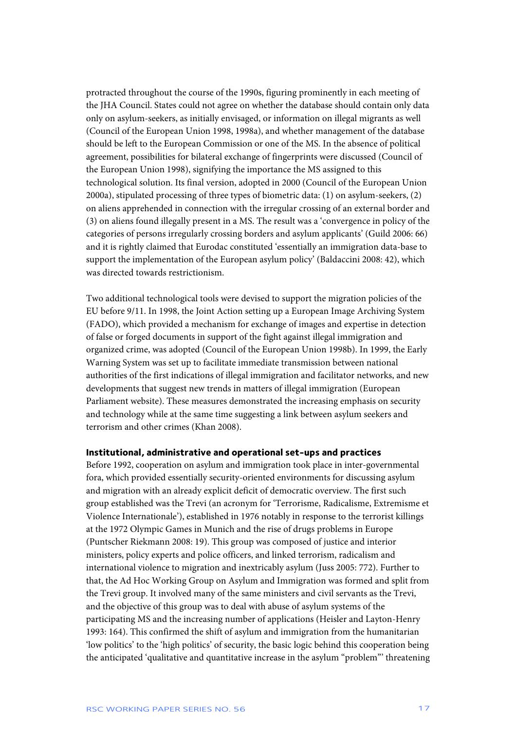protracted throughout the course of the 1990s, figuring prominently in each meeting of the JHA Council. States could not agree on whether the database should contain only data only on asylum-seekers, as initially envisaged, or information on illegal migrants as well (Council of the European Union 1998, 1998a), and whether management of the database should be left to the European Commission or one of the MS. In the absence of political agreement, possibilities for bilateral exchange of fingerprints were discussed (Council of the European Union 1998), signifying the importance the MS assigned to this technological solution. Its final version, adopted in 2000 (Council of the European Union 2000a), stipulated processing of three types of biometric data: (1) on asylum-seekers, (2) on aliens apprehended in connection with the irregular crossing of an external border and (3) on aliens found illegally present in a MS. The result was a 'convergence in policy of the categories of persons irregularly crossing borders and asylum applicants' (Guild 2006: 66) and it is rightly claimed that Eurodac constituted 'essentially an immigration data-base to support the implementation of the European asylum policy' (Baldaccini 2008: 42), which was directed towards restrictionism.

Two additional technological tools were devised to support the migration policies of the EU before 9/11. In 1998, the Joint Action setting up a European Image Archiving System (FADO), which provided a mechanism for exchange of images and expertise in detection of false or forged documents in support of the fight against illegal immigration and organized crime, was adopted (Council of the European Union 1998b). In 1999, the Early Warning System was set up to facilitate immediate transmission between national authorities of the first indications of illegal immigration and facilitator networks, and new developments that suggest new trends in matters of illegal immigration (European Parliament website). These measures demonstrated the increasing emphasis on security and technology while at the same time suggesting a link between asylum seekers and terrorism and other crimes (Khan 2008).

#### **Institutional, administrative and operational set-ups and practices**

Before 1992, cooperation on asylum and immigration took place in inter-governmental fora, which provided essentially security-oriented environments for discussing asylum and migration with an already explicit deficit of democratic overview. The first such group established was the Trevi (an acronym for 'Terrorisme, Radicalisme, Extremisme et Violence Internationale'), established in 1976 notably in response to the terrorist killings at the 1972 Olympic Games in Munich and the rise of drugs problems in Europe (Puntscher Riekmann 2008: 19). This group was composed of justice and interior ministers, policy experts and police officers, and linked terrorism, radicalism and international violence to migration and inextricably asylum (Juss 2005: 772). Further to that, the Ad Hoc Working Group on Asylum and Immigration was formed and split from the Trevi group. It involved many of the same ministers and civil servants as the Trevi, and the objective of this group was to deal with abuse of asylum systems of the participating MS and the increasing number of applications (Heisler and Layton-Henry 1993: 164). This confirmed the shift of asylum and immigration from the humanitarian 'low politics' to the 'high politics' of security, the basic logic behind this cooperation being the anticipated 'qualitative and quantitative increase in the asylum "problem"' threatening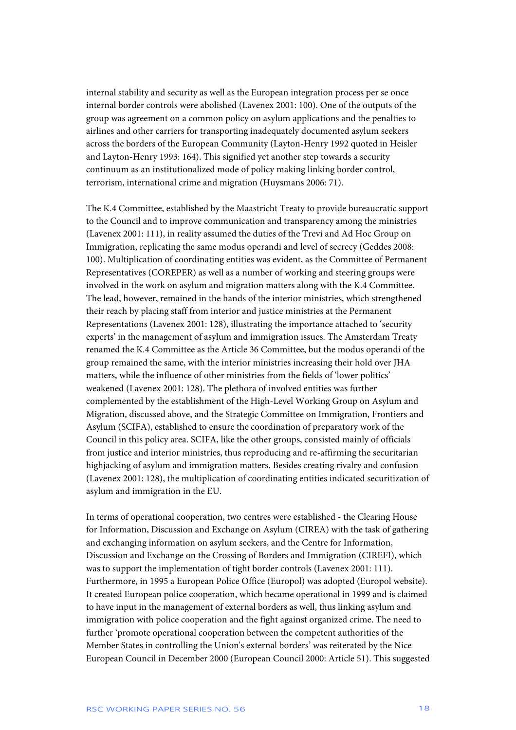internal stability and security as well as the European integration process per se once internal border controls were abolished (Lavenex 2001: 100). One of the outputs of the group was agreement on a common policy on asylum applications and the penalties to airlines and other carriers for transporting inadequately documented asylum seekers across the borders of the European Community (Layton-Henry 1992 quoted in Heisler and Layton-Henry 1993: 164). This signified yet another step towards a security continuum as an institutionalized mode of policy making linking border control, terrorism, international crime and migration (Huysmans 2006: 71).

The K.4 Committee, established by the Maastricht Treaty to provide bureaucratic support to the Council and to improve communication and transparency among the ministries (Lavenex 2001: 111), in reality assumed the duties of the Trevi and Ad Hoc Group on Immigration, replicating the same modus operandi and level of secrecy (Geddes 2008: 100). Multiplication of coordinating entities was evident, as the Committee of Permanent Representatives (COREPER) as well as a number of working and steering groups were involved in the work on asylum and migration matters along with the K.4 Committee. The lead, however, remained in the hands of the interior ministries, which strengthened their reach by placing staff from interior and justice ministries at the Permanent Representations (Lavenex 2001: 128), illustrating the importance attached to 'security experts' in the management of asylum and immigration issues. The Amsterdam Treaty renamed the K.4 Committee as the Article 36 Committee, but the modus operandi of the group remained the same, with the interior ministries increasing their hold over JHA matters, while the influence of other ministries from the fields of 'lower politics' weakened (Lavenex 2001: 128). The plethora of involved entities was further complemented by the establishment of the High-Level Working Group on Asylum and Migration, discussed above, and the Strategic Committee on Immigration, Frontiers and Asylum (SCIFA), established to ensure the coordination of preparatory work of the Council in this policy area. SCIFA, like the other groups, consisted mainly of officials from justice and interior ministries, thus reproducing and re-affirming the securitarian highjacking of asylum and immigration matters. Besides creating rivalry and confusion (Lavenex 2001: 128), the multiplication of coordinating entities indicated securitization of asylum and immigration in the EU.

In terms of operational cooperation, two centres were established - the Clearing House for Information, Discussion and Exchange on Asylum (CIREA) with the task of gathering and exchanging information on asylum seekers, and the Centre for Information, Discussion and Exchange on the Crossing of Borders and Immigration (CIREFI), which was to support the implementation of tight border controls (Lavenex 2001: 111). Furthermore, in 1995 a European Police Office (Europol) was adopted (Europol website). It created European police cooperation, which became operational in 1999 and is claimed to have input in the management of external borders as well, thus linking asylum and immigration with police cooperation and the fight against organized crime. The need to further 'promote operational cooperation between the competent authorities of the Member States in controlling the Union's external borders' was reiterated by the Nice European Council in December 2000 (European Council 2000: Article 51). This suggested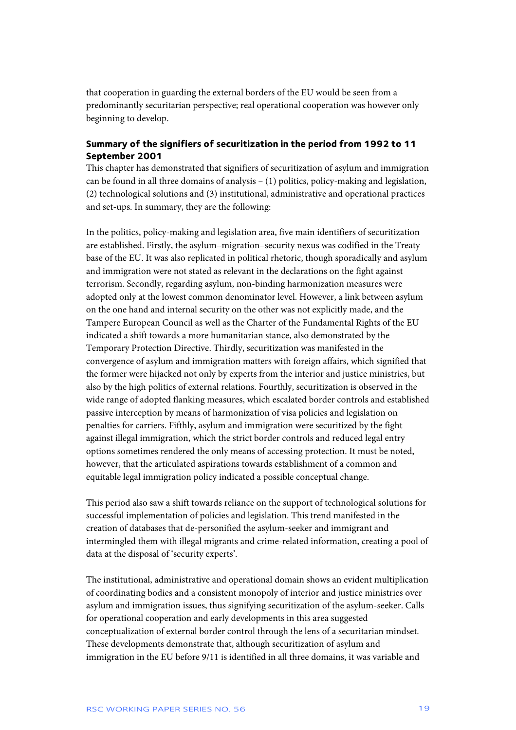that cooperation in guarding the external borders of the EU would be seen from a predominantly securitarian perspective; real operational cooperation was however only beginning to develop.

#### **Summary of the signifiers of securitization in the period from 1992 to 11 September 2001**

This chapter has demonstrated that signifiers of securitization of asylum and immigration can be found in all three domains of analysis – (1) politics, policy-making and legislation, (2) technological solutions and (3) institutional, administrative and operational practices and set-ups. In summary, they are the following:

In the politics, policy-making and legislation area, five main identifiers of securitization are established. Firstly, the asylum–migration–security nexus was codified in the Treaty base of the EU. It was also replicated in political rhetoric, though sporadically and asylum and immigration were not stated as relevant in the declarations on the fight against terrorism. Secondly, regarding asylum, non-binding harmonization measures were adopted only at the lowest common denominator level. However, a link between asylum on the one hand and internal security on the other was not explicitly made, and the Tampere European Council as well as the Charter of the Fundamental Rights of the EU indicated a shift towards a more humanitarian stance, also demonstrated by the Temporary Protection Directive. Thirdly, securitization was manifested in the convergence of asylum and immigration matters with foreign affairs, which signified that the former were hijacked not only by experts from the interior and justice ministries, but also by the high politics of external relations. Fourthly, securitization is observed in the wide range of adopted flanking measures, which escalated border controls and established passive interception by means of harmonization of visa policies and legislation on penalties for carriers. Fifthly, asylum and immigration were securitized by the fight against illegal immigration, which the strict border controls and reduced legal entry options sometimes rendered the only means of accessing protection. It must be noted, however, that the articulated aspirations towards establishment of a common and equitable legal immigration policy indicated a possible conceptual change.

This period also saw a shift towards reliance on the support of technological solutions for successful implementation of policies and legislation. This trend manifested in the creation of databases that de-personified the asylum-seeker and immigrant and intermingled them with illegal migrants and crime-related information, creating a pool of data at the disposal of 'security experts'.

The institutional, administrative and operational domain shows an evident multiplication of coordinating bodies and a consistent monopoly of interior and justice ministries over asylum and immigration issues, thus signifying securitization of the asylum-seeker. Calls for operational cooperation and early developments in this area suggested conceptualization of external border control through the lens of a securitarian mindset. These developments demonstrate that, although securitization of asylum and immigration in the EU before 9/11 is identified in all three domains, it was variable and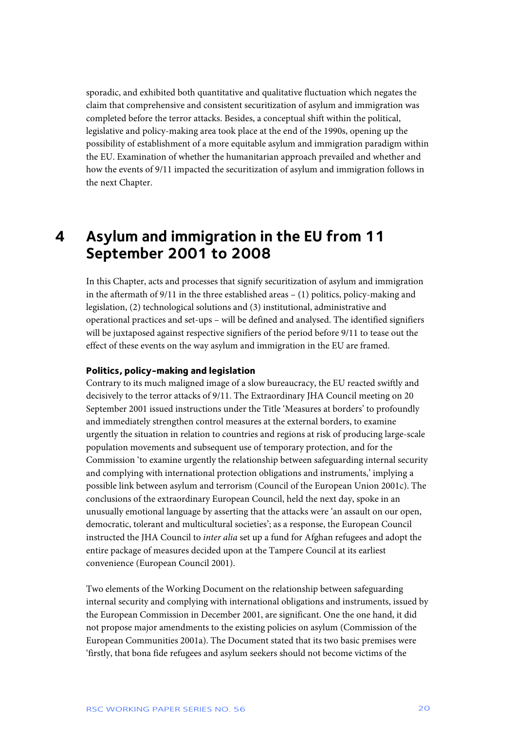sporadic, and exhibited both quantitative and qualitative fluctuation which negates the claim that comprehensive and consistent securitization of asylum and immigration was completed before the terror attacks. Besides, a conceptual shift within the political, legislative and policy-making area took place at the end of the 1990s, opening up the possibility of establishment of a more equitable asylum and immigration paradigm within the EU. Examination of whether the humanitarian approach prevailed and whether and how the events of 9/11 impacted the securitization of asylum and immigration follows in the next Chapter.

### **4 Asylum and immigration in the EU from 11 September 2001 to 2008**

In this Chapter, acts and processes that signify securitization of asylum and immigration in the aftermath of 9/11 in the three established areas – (1) politics, policy-making and legislation, (2) technological solutions and (3) institutional, administrative and operational practices and set-ups – will be defined and analysed. The identified signifiers will be juxtaposed against respective signifiers of the period before 9/11 to tease out the effect of these events on the way asylum and immigration in the EU are framed.

#### **Politics, policy-making and legislation**

Contrary to its much maligned image of a slow bureaucracy, the EU reacted swiftly and decisively to the terror attacks of 9/11. The Extraordinary JHA Council meeting on 20 September 2001 issued instructions under the Title 'Measures at borders' to profoundly and immediately strengthen control measures at the external borders, to examine urgently the situation in relation to countries and regions at risk of producing large-scale population movements and subsequent use of temporary protection, and for the Commission 'to examine urgently the relationship between safeguarding internal security and complying with international protection obligations and instruments,' implying a possible link between asylum and terrorism (Council of the European Union 2001c). The conclusions of the extraordinary European Council, held the next day, spoke in an unusually emotional language by asserting that the attacks were 'an assault on our open, democratic, tolerant and multicultural societies'; as a response, the European Council instructed the JHA Council to *inter alia* set up a fund for Afghan refugees and adopt the entire package of measures decided upon at the Tampere Council at its earliest convenience (European Council 2001).

Two elements of the Working Document on the relationship between safeguarding internal security and complying with international obligations and instruments, issued by the European Commission in December 2001, are significant. One the one hand, it did not propose major amendments to the existing policies on asylum (Commission of the European Communities 2001a). The Document stated that its two basic premises were 'firstly, that bona fide refugees and asylum seekers should not become victims of the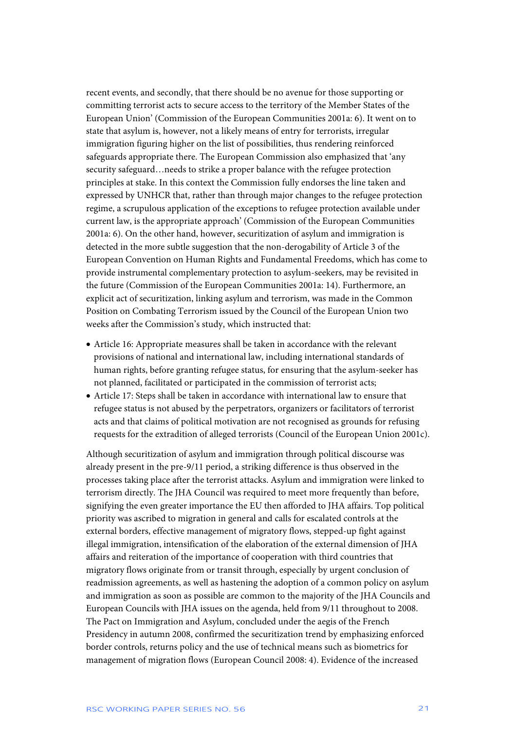recent events, and secondly, that there should be no avenue for those supporting or committing terrorist acts to secure access to the territory of the Member States of the European Union' (Commission of the European Communities 2001a: 6). It went on to state that asylum is, however, not a likely means of entry for terrorists, irregular immigration figuring higher on the list of possibilities, thus rendering reinforced safeguards appropriate there. The European Commission also emphasized that 'any security safeguard…needs to strike a proper balance with the refugee protection principles at stake. In this context the Commission fully endorses the line taken and expressed by UNHCR that, rather than through major changes to the refugee protection regime, a scrupulous application of the exceptions to refugee protection available under current law, is the appropriate approach' (Commission of the European Communities 2001a: 6). On the other hand, however, securitization of asylum and immigration is detected in the more subtle suggestion that the non-derogability of Article 3 of the European Convention on Human Rights and Fundamental Freedoms, which has come to provide instrumental complementary protection to asylum-seekers, may be revisited in the future (Commission of the European Communities 2001a: 14). Furthermore, an explicit act of securitization, linking asylum and terrorism, was made in the Common Position on Combating Terrorism issued by the Council of the European Union two weeks after the Commission's study, which instructed that:

- Article 16: Appropriate measures shall be taken in accordance with the relevant provisions of national and international law, including international standards of human rights, before granting refugee status, for ensuring that the asylum-seeker has not planned, facilitated or participated in the commission of terrorist acts;
- Article 17: Steps shall be taken in accordance with international law to ensure that refugee status is not abused by the perpetrators, organizers or facilitators of terrorist acts and that claims of political motivation are not recognised as grounds for refusing requests for the extradition of alleged terrorists (Council of the European Union 2001c).

Although securitization of asylum and immigration through political discourse was already present in the pre-9/11 period, a striking difference is thus observed in the processes taking place after the terrorist attacks. Asylum and immigration were linked to terrorism directly. The JHA Council was required to meet more frequently than before, signifying the even greater importance the EU then afforded to JHA affairs. Top political priority was ascribed to migration in general and calls for escalated controls at the external borders, effective management of migratory flows, stepped-up fight against illegal immigration, intensification of the elaboration of the external dimension of JHA affairs and reiteration of the importance of cooperation with third countries that migratory flows originate from or transit through, especially by urgent conclusion of readmission agreements, as well as hastening the adoption of a common policy on asylum and immigration as soon as possible are common to the majority of the JHA Councils and European Councils with JHA issues on the agenda, held from 9/11 throughout to 2008. The Pact on Immigration and Asylum, concluded under the aegis of the French Presidency in autumn 2008, confirmed the securitization trend by emphasizing enforced border controls, returns policy and the use of technical means such as biometrics for management of migration flows (European Council 2008: 4). Evidence of the increased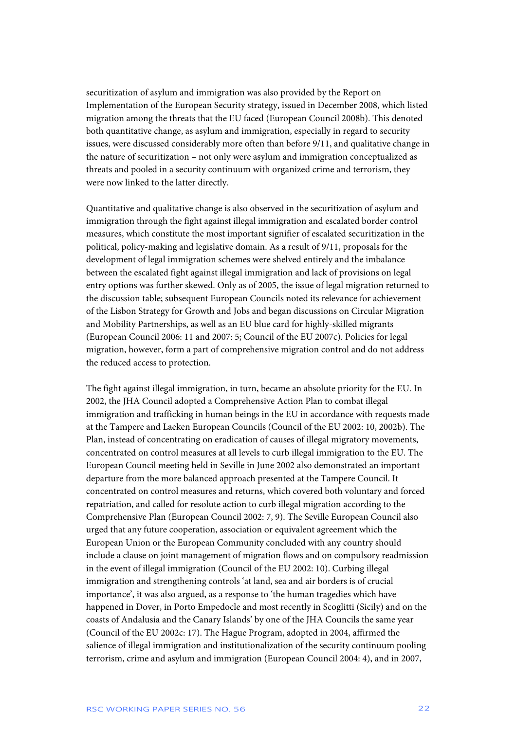securitization of asylum and immigration was also provided by the Report on Implementation of the European Security strategy, issued in December 2008, which listed migration among the threats that the EU faced (European Council 2008b). This denoted both quantitative change, as asylum and immigration, especially in regard to security issues, were discussed considerably more often than before 9/11, and qualitative change in the nature of securitization – not only were asylum and immigration conceptualized as threats and pooled in a security continuum with organized crime and terrorism, they were now linked to the latter directly.

Quantitative and qualitative change is also observed in the securitization of asylum and immigration through the fight against illegal immigration and escalated border control measures, which constitute the most important signifier of escalated securitization in the political, policy-making and legislative domain. As a result of 9/11, proposals for the development of legal immigration schemes were shelved entirely and the imbalance between the escalated fight against illegal immigration and lack of provisions on legal entry options was further skewed. Only as of 2005, the issue of legal migration returned to the discussion table; subsequent European Councils noted its relevance for achievement of the Lisbon Strategy for Growth and Jobs and began discussions on Circular Migration and Mobility Partnerships, as well as an EU blue card for highly-skilled migrants (European Council 2006: 11 and 2007: 5; Council of the EU 2007c). Policies for legal migration, however, form a part of comprehensive migration control and do not address the reduced access to protection.

The fight against illegal immigration, in turn, became an absolute priority for the EU. In 2002, the JHA Council adopted a Comprehensive Action Plan to combat illegal immigration and trafficking in human beings in the EU in accordance with requests made at the Tampere and Laeken European Councils (Council of the EU 2002: 10, 2002b). The Plan, instead of concentrating on eradication of causes of illegal migratory movements, concentrated on control measures at all levels to curb illegal immigration to the EU. The European Council meeting held in Seville in June 2002 also demonstrated an important departure from the more balanced approach presented at the Tampere Council. It concentrated on control measures and returns, which covered both voluntary and forced repatriation, and called for resolute action to curb illegal migration according to the Comprehensive Plan (European Council 2002: 7, 9). The Seville European Council also urged that any future cooperation, association or equivalent agreement which the European Union or the European Community concluded with any country should include a clause on joint management of migration flows and on compulsory readmission in the event of illegal immigration (Council of the EU 2002: 10). Curbing illegal immigration and strengthening controls 'at land, sea and air borders is of crucial importance', it was also argued, as a response to 'the human tragedies which have happened in Dover, in Porto Empedocle and most recently in Scoglitti (Sicily) and on the coasts of Andalusia and the Canary Islands' by one of the JHA Councils the same year (Council of the EU 2002c: 17). The Hague Program, adopted in 2004, affirmed the salience of illegal immigration and institutionalization of the security continuum pooling terrorism, crime and asylum and immigration (European Council 2004: 4), and in 2007,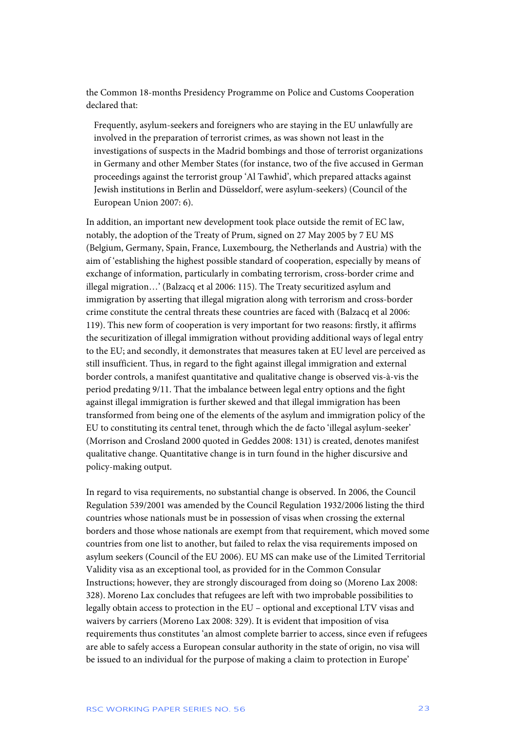the Common 18-months Presidency Programme on Police and Customs Cooperation declared that:

Frequently, asylum-seekers and foreigners who are staying in the EU unlawfully are involved in the preparation of terrorist crimes, as was shown not least in the investigations of suspects in the Madrid bombings and those of terrorist organizations in Germany and other Member States (for instance, two of the five accused in German proceedings against the terrorist group 'Al Tawhid', which prepared attacks against Jewish institutions in Berlin and Düsseldorf, were asylum-seekers) (Council of the European Union 2007: 6).

In addition, an important new development took place outside the remit of EC law, notably, the adoption of the Treaty of Prum, signed on 27 May 2005 by 7 EU MS (Belgium, Germany, Spain, France, Luxembourg, the Netherlands and Austria) with the aim of 'establishing the highest possible standard of cooperation, especially by means of exchange of information, particularly in combating terrorism, cross-border crime and illegal migration…' (Balzacq et al 2006: 115). The Treaty securitized asylum and immigration by asserting that illegal migration along with terrorism and cross-border crime constitute the central threats these countries are faced with (Balzacq et al 2006: 119). This new form of cooperation is very important for two reasons: firstly, it affirms the securitization of illegal immigration without providing additional ways of legal entry to the EU; and secondly, it demonstrates that measures taken at EU level are perceived as still insufficient. Thus, in regard to the fight against illegal immigration and external border controls, a manifest quantitative and qualitative change is observed vis-à-vis the period predating 9/11. That the imbalance between legal entry options and the fight against illegal immigration is further skewed and that illegal immigration has been transformed from being one of the elements of the asylum and immigration policy of the EU to constituting its central tenet, through which the de facto 'illegal asylum-seeker' (Morrison and Crosland 2000 quoted in Geddes 2008: 131) is created, denotes manifest qualitative change. Quantitative change is in turn found in the higher discursive and policy-making output.

In regard to visa requirements, no substantial change is observed. In 2006, the Council Regulation 539/2001 was amended by the Council Regulation 1932/2006 listing the third countries whose nationals must be in possession of visas when crossing the external borders and those whose nationals are exempt from that requirement, which moved some countries from one list to another, but failed to relax the visa requirements imposed on asylum seekers (Council of the EU 2006). EU MS can make use of the Limited Territorial Validity visa as an exceptional tool, as provided for in the Common Consular Instructions; however, they are strongly discouraged from doing so (Moreno Lax 2008: 328). Moreno Lax concludes that refugees are left with two improbable possibilities to legally obtain access to protection in the EU – optional and exceptional LTV visas and waivers by carriers (Moreno Lax 2008: 329). It is evident that imposition of visa requirements thus constitutes 'an almost complete barrier to access, since even if refugees are able to safely access a European consular authority in the state of origin, no visa will be issued to an individual for the purpose of making a claim to protection in Europe'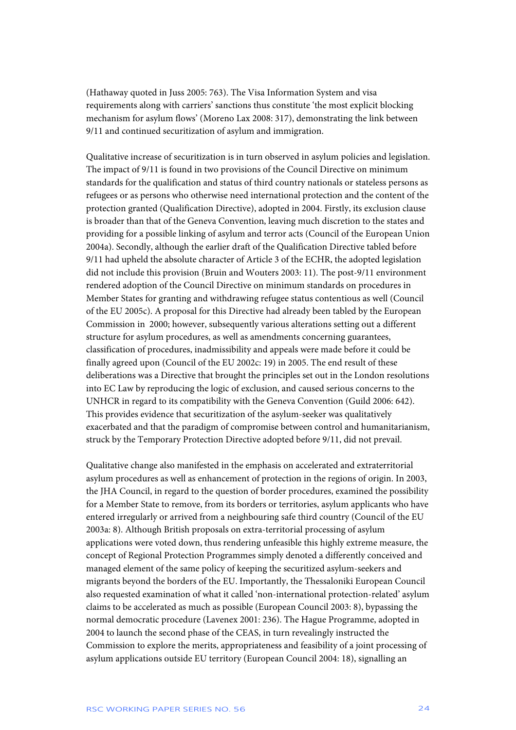(Hathaway quoted in Juss 2005: 763). The Visa Information System and visa requirements along with carriers' sanctions thus constitute 'the most explicit blocking mechanism for asylum flows' (Moreno Lax 2008: 317), demonstrating the link between 9/11 and continued securitization of asylum and immigration.

Qualitative increase of securitization is in turn observed in asylum policies and legislation. The impact of 9/11 is found in two provisions of the Council Directive on minimum standards for the qualification and status of third country nationals or stateless persons as refugees or as persons who otherwise need international protection and the content of the protection granted (Qualification Directive), adopted in 2004. Firstly, its exclusion clause is broader than that of the Geneva Convention, leaving much discretion to the states and providing for a possible linking of asylum and terror acts (Council of the European Union 2004a). Secondly, although the earlier draft of the Qualification Directive tabled before 9/11 had upheld the absolute character of Article 3 of the ECHR, the adopted legislation did not include this provision (Bruin and Wouters 2003: 11). The post-9/11 environment rendered adoption of the Council Directive on minimum standards on procedures in Member States for granting and withdrawing refugee status contentious as well (Council of the EU 2005c). A proposal for this Directive had already been tabled by the European Commission in 2000; however, subsequently various alterations setting out a different structure for asylum procedures, as well as amendments concerning guarantees, classification of procedures, inadmissibility and appeals were made before it could be finally agreed upon (Council of the EU 2002c: 19) in 2005. The end result of these deliberations was a Directive that brought the principles set out in the London resolutions into EC Law by reproducing the logic of exclusion, and caused serious concerns to the UNHCR in regard to its compatibility with the Geneva Convention (Guild 2006: 642). This provides evidence that securitization of the asylum-seeker was qualitatively exacerbated and that the paradigm of compromise between control and humanitarianism, struck by the Temporary Protection Directive adopted before 9/11, did not prevail.

Qualitative change also manifested in the emphasis on accelerated and extraterritorial asylum procedures as well as enhancement of protection in the regions of origin. In 2003, the JHA Council, in regard to the question of border procedures, examined the possibility for a Member State to remove, from its borders or territories, asylum applicants who have entered irregularly or arrived from a neighbouring safe third country (Council of the EU 2003a: 8). Although British proposals on extra-territorial processing of asylum applications were voted down, thus rendering unfeasible this highly extreme measure, the concept of Regional Protection Programmes simply denoted a differently conceived and managed element of the same policy of keeping the securitized asylum-seekers and migrants beyond the borders of the EU. Importantly, the Thessaloniki European Council also requested examination of what it called 'non-international protection-related' asylum claims to be accelerated as much as possible (European Council 2003: 8), bypassing the normal democratic procedure (Lavenex 2001: 236). The Hague Programme, adopted in 2004 to launch the second phase of the CEAS, in turn revealingly instructed the Commission to explore the merits, appropriateness and feasibility of a joint processing of asylum applications outside EU territory (European Council 2004: 18), signalling an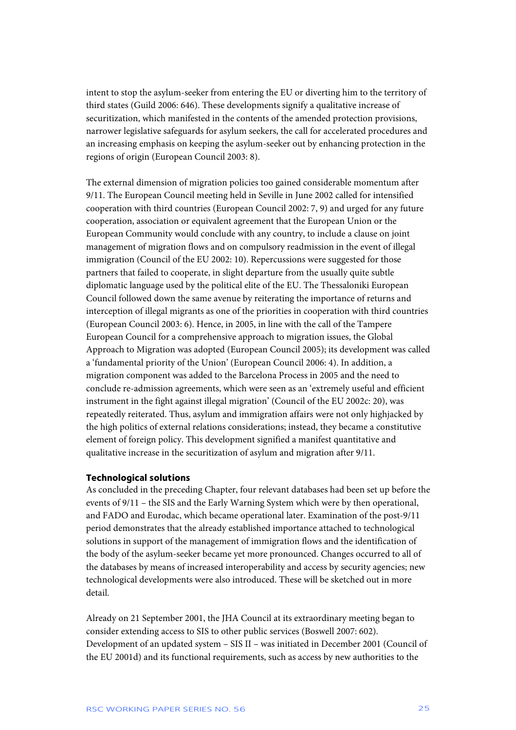intent to stop the asylum-seeker from entering the EU or diverting him to the territory of third states (Guild 2006: 646). These developments signify a qualitative increase of securitization, which manifested in the contents of the amended protection provisions, narrower legislative safeguards for asylum seekers, the call for accelerated procedures and an increasing emphasis on keeping the asylum-seeker out by enhancing protection in the regions of origin (European Council 2003: 8).

The external dimension of migration policies too gained considerable momentum after 9/11. The European Council meeting held in Seville in June 2002 called for intensified cooperation with third countries (European Council 2002: 7, 9) and urged for any future cooperation, association or equivalent agreement that the European Union or the European Community would conclude with any country, to include a clause on joint management of migration flows and on compulsory readmission in the event of illegal immigration (Council of the EU 2002: 10). Repercussions were suggested for those partners that failed to cooperate, in slight departure from the usually quite subtle diplomatic language used by the political elite of the EU. The Thessaloniki European Council followed down the same avenue by reiterating the importance of returns and interception of illegal migrants as one of the priorities in cooperation with third countries (European Council 2003: 6). Hence, in 2005, in line with the call of the Tampere European Council for a comprehensive approach to migration issues, the Global Approach to Migration was adopted (European Council 2005); its development was called a 'fundamental priority of the Union' (European Council 2006: 4). In addition, a migration component was added to the Barcelona Process in 2005 and the need to conclude re-admission agreements, which were seen as an 'extremely useful and efficient instrument in the fight against illegal migration' (Council of the EU 2002c: 20), was repeatedly reiterated. Thus, asylum and immigration affairs were not only highjacked by the high politics of external relations considerations; instead, they became a constitutive element of foreign policy. This development signified a manifest quantitative and qualitative increase in the securitization of asylum and migration after 9/11.

#### **Technological solutions**

As concluded in the preceding Chapter, four relevant databases had been set up before the events of 9/11 – the SIS and the Early Warning System which were by then operational, and FADO and Eurodac, which became operational later. Examination of the post-9/11 period demonstrates that the already established importance attached to technological solutions in support of the management of immigration flows and the identification of the body of the asylum-seeker became yet more pronounced. Changes occurred to all of the databases by means of increased interoperability and access by security agencies; new technological developments were also introduced. These will be sketched out in more detail.

Already on 21 September 2001, the JHA Council at its extraordinary meeting began to consider extending access to SIS to other public services (Boswell 2007: 602). Development of an updated system – SIS II – was initiated in December 2001 (Council of the EU 2001d) and its functional requirements, such as access by new authorities to the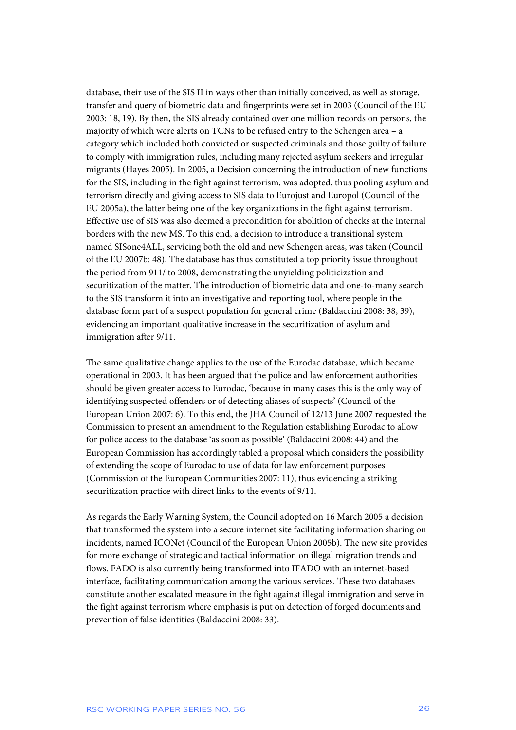database, their use of the SIS II in ways other than initially conceived, as well as storage, transfer and query of biometric data and fingerprints were set in 2003 (Council of the EU 2003: 18, 19). By then, the SIS already contained over one million records on persons, the majority of which were alerts on TCNs to be refused entry to the Schengen area – a category which included both convicted or suspected criminals and those guilty of failure to comply with immigration rules, including many rejected asylum seekers and irregular migrants (Hayes 2005). In 2005, a Decision concerning the introduction of new functions for the SIS, including in the fight against terrorism, was adopted, thus pooling asylum and terrorism directly and giving access to SIS data to Eurojust and Europol (Council of the EU 2005a), the latter being one of the key organizations in the fight against terrorism. Effective use of SIS was also deemed a precondition for abolition of checks at the internal borders with the new MS. To this end, a decision to introduce a transitional system named SISone4ALL, servicing both the old and new Schengen areas, was taken (Council of the EU 2007b: 48). The database has thus constituted a top priority issue throughout the period from 911/ to 2008, demonstrating the unyielding politicization and securitization of the matter. The introduction of biometric data and one-to-many search to the SIS transform it into an investigative and reporting tool, where people in the database form part of a suspect population for general crime (Baldaccini 2008: 38, 39), evidencing an important qualitative increase in the securitization of asylum and immigration after 9/11.

The same qualitative change applies to the use of the Eurodac database, which became operational in 2003. It has been argued that the police and law enforcement authorities should be given greater access to Eurodac, 'because in many cases this is the only way of identifying suspected offenders or of detecting aliases of suspects' (Council of the European Union 2007: 6). To this end, the JHA Council of 12/13 June 2007 requested the Commission to present an amendment to the Regulation establishing Eurodac to allow for police access to the database 'as soon as possible' (Baldaccini 2008: 44) and the European Commission has accordingly tabled a proposal which considers the possibility of extending the scope of Eurodac to use of data for law enforcement purposes (Commission of the European Communities 2007: 11), thus evidencing a striking securitization practice with direct links to the events of 9/11.

As regards the Early Warning System, the Council adopted on 16 March 2005 a decision that transformed the system into a secure internet site facilitating information sharing on incidents, named ICONet (Council of the European Union 2005b). The new site provides for more exchange of strategic and tactical information on illegal migration trends and flows. FADO is also currently being transformed into IFADO with an internet-based interface, facilitating communication among the various services. These two databases constitute another escalated measure in the fight against illegal immigration and serve in the fight against terrorism where emphasis is put on detection of forged documents and prevention of false identities (Baldaccini 2008: 33).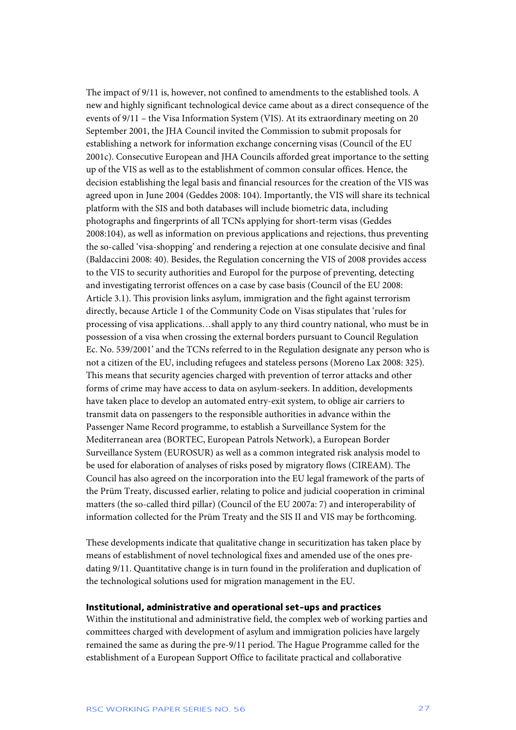The impact of 9/11 is, however, not confined to amendments to the established tools. A new and highly significant technological device came about as a direct consequence of the events of 9/11 – the Visa Information System (VIS). At its extraordinary meeting on 20 September 2001, the JHA Council invited the Commission to submit proposals for establishing a network for information exchange concerning visas (Council of the EU 2001c). Consecutive European and JHA Councils afforded great importance to the setting up of the VIS as well as to the establishment of common consular offices. Hence, the decision establishing the legal basis and financial resources for the creation of the VIS was agreed upon in June 2004 (Geddes 2008: 104). Importantly, the VIS will share its technical platform with the SIS and both databases will include biometric data, including photographs and fingerprints of all TCNs applying for short-term visas (Geddes 2008:104), as well as information on previous applications and rejections, thus preventing the so-called 'visa-shopping' and rendering a rejection at one consulate decisive and final (Baldaccini 2008: 40). Besides, the Regulation concerning the VIS of 2008 provides access to the VIS to security authorities and Europol for the purpose of preventing, detecting and investigating terrorist offences on a case by case basis (Council of the EU 2008: Article 3.1). This provision links asylum, immigration and the fight against terrorism directly, because Article 1 of the Community Code on Visas stipulates that 'rules for processing of visa applications…shall apply to any third country national, who must be in possession of a visa when crossing the external borders pursuant to Council Regulation Ec. No. 539/2001' and the TCNs referred to in the Regulation designate any person who is not a citizen of the EU, including refugees and stateless persons (Moreno Lax 2008: 325). This means that security agencies charged with prevention of terror attacks and other forms of crime may have access to data on asylum-seekers. In addition, developments have taken place to develop an automated entry-exit system, to oblige air carriers to transmit data on passengers to the responsible authorities in advance within the Passenger Name Record programme, to establish a Surveillance System for the Mediterranean area (BORTEC, European Patrols Network), a European Border Surveillance System (EUROSUR) as well as a common integrated risk analysis model to be used for elaboration of analyses of risks posed by migratory flows (CIREAM). The Council has also agreed on the incorporation into the EU legal framework of the parts of the Prüm Treaty, discussed earlier, relating to police and judicial cooperation in criminal matters (the so-called third pillar) (Council of the EU 2007a: 7) and interoperability of information collected for the Prüm Treaty and the SIS II and VIS may be forthcoming.

These developments indicate that qualitative change in securitization has taken place by means of establishment of novel technological fixes and amended use of the ones predating 9/11. Quantitative change is in turn found in the proliferation and duplication of the technological solutions used for migration management in the EU.

#### **Institutional, administrative and operational set-ups and practices**

Within the institutional and administrative field, the complex web of working parties and committees charged with development of asylum and immigration policies have largely remained the same as during the pre-9/11 period. The Hague Programme called for the establishment of a European Support Office to facilitate practical and collaborative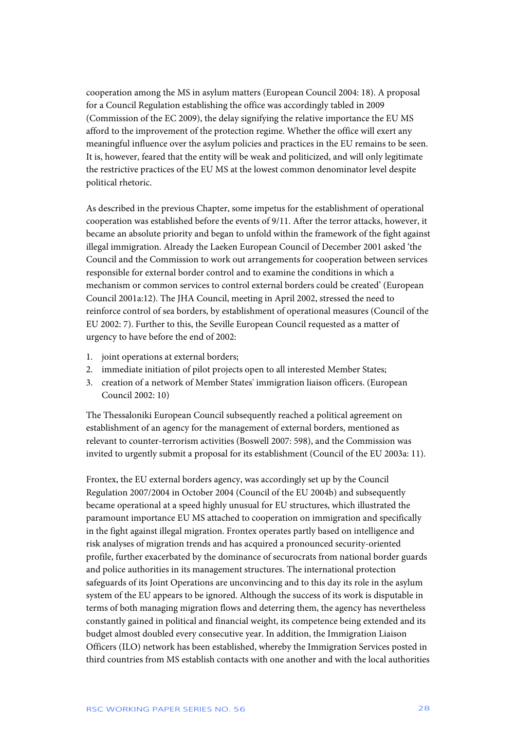cooperation among the MS in asylum matters (European Council 2004: 18). A proposal for a Council Regulation establishing the office was accordingly tabled in 2009 (Commission of the EC 2009), the delay signifying the relative importance the EU MS afford to the improvement of the protection regime. Whether the office will exert any meaningful influence over the asylum policies and practices in the EU remains to be seen. It is, however, feared that the entity will be weak and politicized, and will only legitimate the restrictive practices of the EU MS at the lowest common denominator level despite political rhetoric.

As described in the previous Chapter, some impetus for the establishment of operational cooperation was established before the events of 9/11. After the terror attacks, however, it became an absolute priority and began to unfold within the framework of the fight against illegal immigration. Already the Laeken European Council of December 2001 asked 'the Council and the Commission to work out arrangements for cooperation between services responsible for external border control and to examine the conditions in which a mechanism or common services to control external borders could be created' (European Council 2001a:12). The JHA Council, meeting in April 2002, stressed the need to reinforce control of sea borders, by establishment of operational measures (Council of the EU 2002: 7). Further to this, the Seville European Council requested as a matter of urgency to have before the end of 2002:

- 1. joint operations at external borders;
- 2. immediate initiation of pilot projects open to all interested Member States;
- 3. creation of a network of Member States' immigration liaison officers. (European Council 2002: 10)

The Thessaloniki European Council subsequently reached a political agreement on establishment of an agency for the management of external borders, mentioned as relevant to counter-terrorism activities (Boswell 2007: 598), and the Commission was invited to urgently submit a proposal for its establishment (Council of the EU 2003a: 11).

Frontex, the EU external borders agency, was accordingly set up by the Council Regulation 2007/2004 in October 2004 (Council of the EU 2004b) and subsequently became operational at a speed highly unusual for EU structures, which illustrated the paramount importance EU MS attached to cooperation on immigration and specifically in the fight against illegal migration. Frontex operates partly based on intelligence and risk analyses of migration trends and has acquired a pronounced security-oriented profile, further exacerbated by the dominance of securocrats from national border guards and police authorities in its management structures. The international protection safeguards of its Joint Operations are unconvincing and to this day its role in the asylum system of the EU appears to be ignored. Although the success of its work is disputable in terms of both managing migration flows and deterring them, the agency has nevertheless constantly gained in political and financial weight, its competence being extended and its budget almost doubled every consecutive year. In addition, the Immigration Liaison Officers (ILO) network has been established, whereby the Immigration Services posted in third countries from MS establish contacts with one another and with the local authorities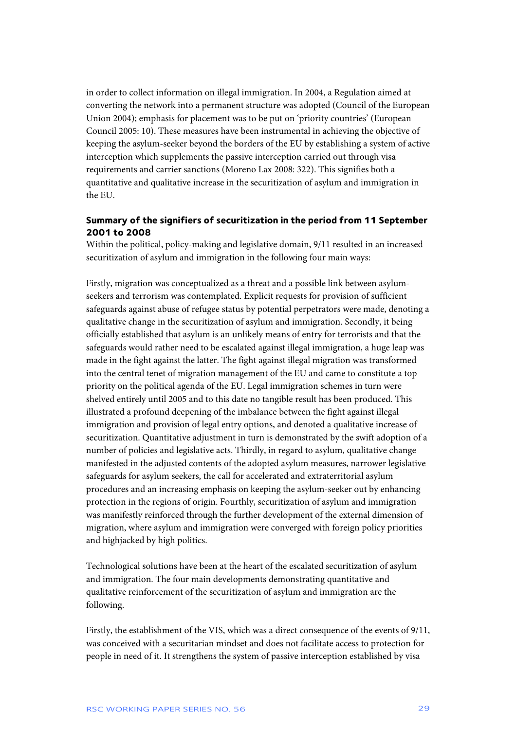in order to collect information on illegal immigration. In 2004, a Regulation aimed at converting the network into a permanent structure was adopted (Council of the European Union 2004); emphasis for placement was to be put on 'priority countries' (European Council 2005: 10). These measures have been instrumental in achieving the objective of keeping the asylum-seeker beyond the borders of the EU by establishing a system of active interception which supplements the passive interception carried out through visa requirements and carrier sanctions (Moreno Lax 2008: 322). This signifies both a quantitative and qualitative increase in the securitization of asylum and immigration in the EU.

#### **Summary of the signifiers of securitization in the period from 11 September 2001 to 2008**

Within the political, policy-making and legislative domain, 9/11 resulted in an increased securitization of asylum and immigration in the following four main ways:

Firstly, migration was conceptualized as a threat and a possible link between asylumseekers and terrorism was contemplated. Explicit requests for provision of sufficient safeguards against abuse of refugee status by potential perpetrators were made, denoting a qualitative change in the securitization of asylum and immigration. Secondly, it being officially established that asylum is an unlikely means of entry for terrorists and that the safeguards would rather need to be escalated against illegal immigration, a huge leap was made in the fight against the latter. The fight against illegal migration was transformed into the central tenet of migration management of the EU and came to constitute a top priority on the political agenda of the EU. Legal immigration schemes in turn were shelved entirely until 2005 and to this date no tangible result has been produced. This illustrated a profound deepening of the imbalance between the fight against illegal immigration and provision of legal entry options, and denoted a qualitative increase of securitization. Quantitative adjustment in turn is demonstrated by the swift adoption of a number of policies and legislative acts. Thirdly, in regard to asylum, qualitative change manifested in the adjusted contents of the adopted asylum measures, narrower legislative safeguards for asylum seekers, the call for accelerated and extraterritorial asylum procedures and an increasing emphasis on keeping the asylum-seeker out by enhancing protection in the regions of origin. Fourthly, securitization of asylum and immigration was manifestly reinforced through the further development of the external dimension of migration, where asylum and immigration were converged with foreign policy priorities and highjacked by high politics.

Technological solutions have been at the heart of the escalated securitization of asylum and immigration. The four main developments demonstrating quantitative and qualitative reinforcement of the securitization of asylum and immigration are the following.

Firstly, the establishment of the VIS, which was a direct consequence of the events of 9/11, was conceived with a securitarian mindset and does not facilitate access to protection for people in need of it. It strengthens the system of passive interception established by visa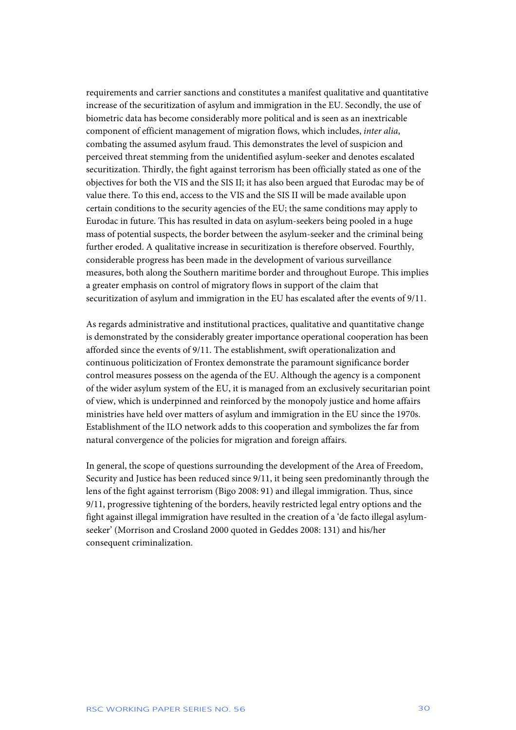requirements and carrier sanctions and constitutes a manifest qualitative and quantitative increase of the securitization of asylum and immigration in the EU. Secondly, the use of biometric data has become considerably more political and is seen as an inextricable component of efficient management of migration flows, which includes, *inter alia*, combating the assumed asylum fraud. This demonstrates the level of suspicion and perceived threat stemming from the unidentified asylum-seeker and denotes escalated securitization. Thirdly, the fight against terrorism has been officially stated as one of the objectives for both the VIS and the SIS II; it has also been argued that Eurodac may be of value there. To this end, access to the VIS and the SIS II will be made available upon certain conditions to the security agencies of the EU; the same conditions may apply to Eurodac in future. This has resulted in data on asylum-seekers being pooled in a huge mass of potential suspects, the border between the asylum-seeker and the criminal being further eroded. A qualitative increase in securitization is therefore observed. Fourthly, considerable progress has been made in the development of various surveillance measures, both along the Southern maritime border and throughout Europe. This implies a greater emphasis on control of migratory flows in support of the claim that securitization of asylum and immigration in the EU has escalated after the events of 9/11.

As regards administrative and institutional practices, qualitative and quantitative change is demonstrated by the considerably greater importance operational cooperation has been afforded since the events of 9/11. The establishment, swift operationalization and continuous politicization of Frontex demonstrate the paramount significance border control measures possess on the agenda of the EU. Although the agency is a component of the wider asylum system of the EU, it is managed from an exclusively securitarian point of view, which is underpinned and reinforced by the monopoly justice and home affairs ministries have held over matters of asylum and immigration in the EU since the 1970s. Establishment of the ILO network adds to this cooperation and symbolizes the far from natural convergence of the policies for migration and foreign affairs.

In general, the scope of questions surrounding the development of the Area of Freedom, Security and Justice has been reduced since 9/11, it being seen predominantly through the lens of the fight against terrorism (Bigo 2008: 91) and illegal immigration. Thus, since 9/11, progressive tightening of the borders, heavily restricted legal entry options and the fight against illegal immigration have resulted in the creation of a 'de facto illegal asylumseeker' (Morrison and Crosland 2000 quoted in Geddes 2008: 131) and his/her consequent criminalization.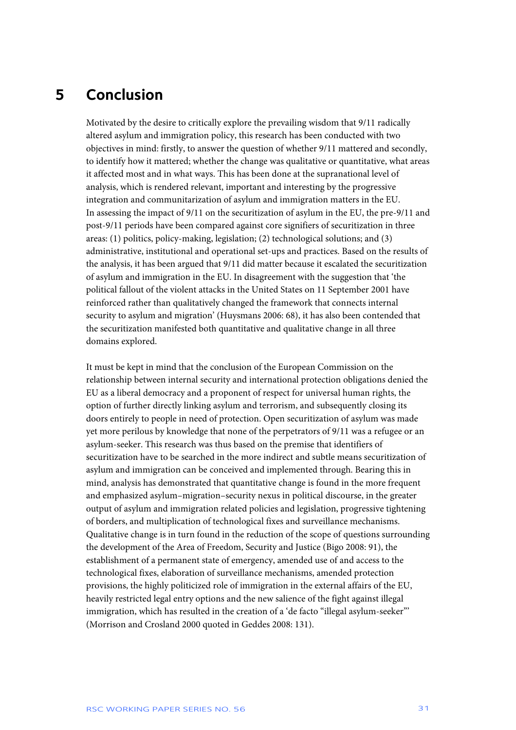### **5 Conclusion**

Motivated by the desire to critically explore the prevailing wisdom that 9/11 radically altered asylum and immigration policy, this research has been conducted with two objectives in mind: firstly, to answer the question of whether 9/11 mattered and secondly, to identify how it mattered; whether the change was qualitative or quantitative, what areas it affected most and in what ways. This has been done at the supranational level of analysis, which is rendered relevant, important and interesting by the progressive integration and communitarization of asylum and immigration matters in the EU. In assessing the impact of 9/11 on the securitization of asylum in the EU, the pre-9/11 and post-9/11 periods have been compared against core signifiers of securitization in three areas: (1) politics, policy-making, legislation; (2) technological solutions; and (3) administrative, institutional and operational set-ups and practices. Based on the results of the analysis, it has been argued that 9/11 did matter because it escalated the securitization of asylum and immigration in the EU. In disagreement with the suggestion that 'the political fallout of the violent attacks in the United States on 11 September 2001 have reinforced rather than qualitatively changed the framework that connects internal security to asylum and migration' (Huysmans 2006: 68), it has also been contended that the securitization manifested both quantitative and qualitative change in all three domains explored.

It must be kept in mind that the conclusion of the European Commission on the relationship between internal security and international protection obligations denied the EU as a liberal democracy and a proponent of respect for universal human rights, the option of further directly linking asylum and terrorism, and subsequently closing its doors entirely to people in need of protection. Open securitization of asylum was made yet more perilous by knowledge that none of the perpetrators of 9/11 was a refugee or an asylum-seeker. This research was thus based on the premise that identifiers of securitization have to be searched in the more indirect and subtle means securitization of asylum and immigration can be conceived and implemented through. Bearing this in mind, analysis has demonstrated that quantitative change is found in the more frequent and emphasized asylum–migration–security nexus in political discourse, in the greater output of asylum and immigration related policies and legislation, progressive tightening of borders, and multiplication of technological fixes and surveillance mechanisms. Qualitative change is in turn found in the reduction of the scope of questions surrounding the development of the Area of Freedom, Security and Justice (Bigo 2008: 91), the establishment of a permanent state of emergency, amended use of and access to the technological fixes, elaboration of surveillance mechanisms, amended protection provisions, the highly politicized role of immigration in the external affairs of the EU, heavily restricted legal entry options and the new salience of the fight against illegal immigration, which has resulted in the creation of a 'de facto "illegal asylum-seeker"' (Morrison and Crosland 2000 quoted in Geddes 2008: 131).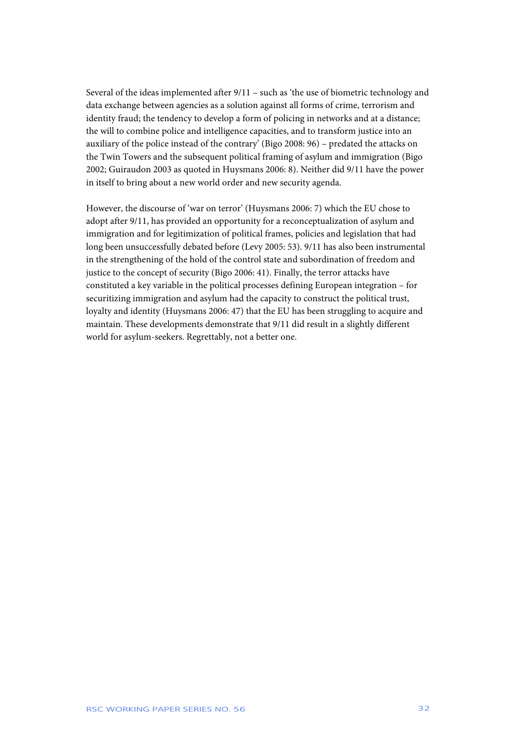Several of the ideas implemented after 9/11 – such as 'the use of biometric technology and data exchange between agencies as a solution against all forms of crime, terrorism and identity fraud; the tendency to develop a form of policing in networks and at a distance; the will to combine police and intelligence capacities, and to transform justice into an auxiliary of the police instead of the contrary' (Bigo 2008: 96) – predated the attacks on the Twin Towers and the subsequent political framing of asylum and immigration (Bigo 2002; Guiraudon 2003 as quoted in Huysmans 2006: 8). Neither did 9/11 have the power in itself to bring about a new world order and new security agenda.

However, the discourse of 'war on terror' (Huysmans 2006: 7) which the EU chose to adopt after 9/11, has provided an opportunity for a reconceptualization of asylum and immigration and for legitimization of political frames, policies and legislation that had long been unsuccessfully debated before (Levy 2005: 53). 9/11 has also been instrumental in the strengthening of the hold of the control state and subordination of freedom and justice to the concept of security (Bigo 2006: 41). Finally, the terror attacks have constituted a key variable in the political processes defining European integration – for securitizing immigration and asylum had the capacity to construct the political trust, loyalty and identity (Huysmans 2006: 47) that the EU has been struggling to acquire and maintain. These developments demonstrate that 9/11 did result in a slightly different world for asylum-seekers. Regrettably, not a better one.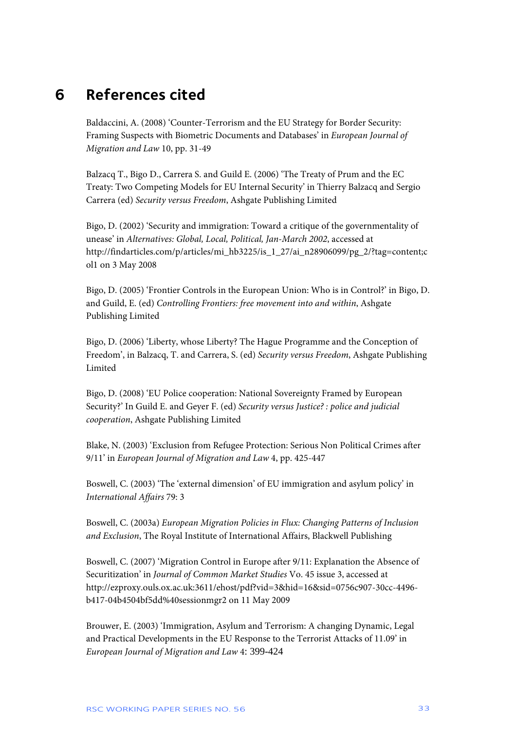### **6 References cited**

Baldaccini, A. (2008) 'Counter-Terrorism and the EU Strategy for Border Security: Framing Suspects with Biometric Documents and Databases' in *European Journal of Migration and Law* 10, pp. 31-49

Balzacq T., Bigo D., Carrera S. and Guild E. (2006) 'The Treaty of Prum and the EC Treaty: Two Competing Models for EU Internal Security' in Thierry Balzacq and Sergio Carrera (ed) *Security versus Freedom*, Ashgate Publishing Limited

Bigo, D. (2002) 'Security and immigration: Toward a critique of the governmentality of unease' in *Alternatives: Global, Local, Political, Jan-March 2002*, accessed at http://findarticles.com/p/articles/mi\_hb3225/is\_1\_27/ai\_n28906099/pg\_2/?tag=content;c ol1 on 3 May 2008

Bigo, D. (2005) 'Frontier Controls in the European Union: Who is in Control?' in Bigo, D. and Guild, E. (ed) *Controlling Frontiers: free movement into and within*, Ashgate Publishing Limited

Bigo, D. (2006) 'Liberty, whose Liberty? The Hague Programme and the Conception of Freedom', in Balzacq, T. and Carrera, S. (ed) *Security versus Freedom*, Ashgate Publishing Limited

Bigo, D. (2008) 'EU Police cooperation: National Sovereignty Framed by European Security?' In Guild E. and Geyer F. (ed) *Security versus Justice? : police and judicial cooperation*, Ashgate Publishing Limited

Blake, N. (2003) 'Exclusion from Refugee Protection: Serious Non Political Crimes after 9/11' in *European Journal of Migration and Law* 4, pp. 425-447

Boswell, C. (2003) 'The 'external dimension' of EU immigration and asylum policy' in *International Affairs* 79: 3

Boswell, C. (2003a) *European Migration Policies in Flux: Changing Patterns of Inclusion and Exclusion*, The Royal Institute of International Affairs, Blackwell Publishing

Boswell, C. (2007) 'Migration Control in Europe after 9/11: Explanation the Absence of Securitization' in *Journal of Common Market Studies* Vo. 45 issue 3, accessed at http://ezproxy.ouls.ox.ac.uk:3611/ehost/pdf?vid=3&hid=16&sid=0756c907-30cc-4496 b417-04b4504bf5dd%40sessionmgr2 on 11 May 2009

Brouwer, E. (2003) 'Immigration, Asylum and Terrorism: A changing Dynamic, Legal and Practical Developments in the EU Response to the Terrorist Attacks of 11.09' in *European Journal of Migration and Law* 4: 399-424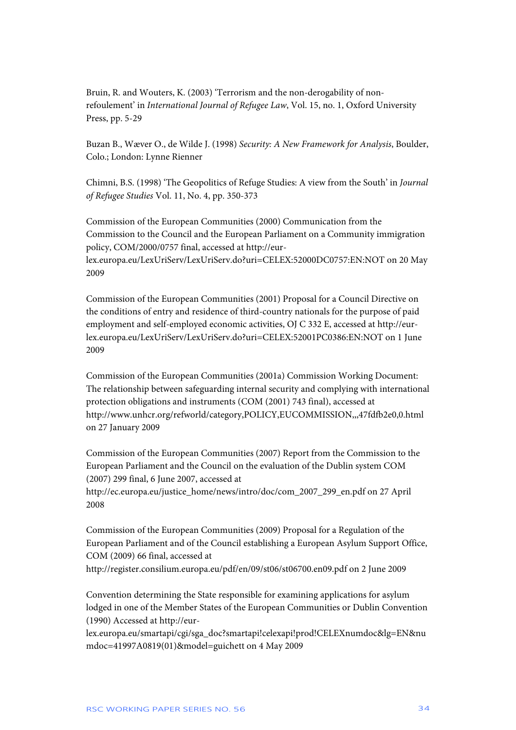Bruin, R. and Wouters, K. (2003) 'Terrorism and the non-derogability of nonrefoulement' in *International Journal of Refugee Law*, Vol. 15, no. 1, Oxford University Press, pp. 5-29

Buzan B., Wæver O., de Wilde J. (1998) *Security: A New Framework for Analysis*, Boulder, Colo.; London: Lynne Rienner

Chimni, B.S. (1998) 'The Geopolitics of Refuge Studies: A view from the South' in *Journal of Refugee Studies* Vol. 11, No. 4, pp. 350-373

Commission of the European Communities (2000) Communication from the Commission to the Council and the European Parliament on a Community immigration policy, COM/2000/0757 final, accessed at http://eur-

lex.europa.eu/LexUriServ/LexUriServ.do?uri=CELEX:52000DC0757:EN:NOT on 20 May 2009

Commission of the European Communities (2001) Proposal for a Council Directive on the conditions of entry and residence of third-country nationals for the purpose of paid employment and self-employed economic activities, OJ C 332 E, accessed at http://eurlex.europa.eu/LexUriServ/LexUriServ.do?uri=CELEX:52001PC0386:EN:NOT on 1 June 2009

Commission of the European Communities (2001a) Commission Working Document: The relationship between safeguarding internal security and complying with international protection obligations and instruments (COM (2001) 743 final), accessed at http://www.unhcr.org/refworld/category,POLICY,EUCOMMISSION,,,47fdfb2e0,0.html on 27 January 2009

Commission of the European Communities (2007) Report from the Commission to the European Parliament and the Council on the evaluation of the Dublin system COM (2007) 299 final, 6 June 2007, accessed at http://ec.europa.eu/justice\_home/news/intro/doc/com\_2007\_299\_en.pdf on 27 April 2008

Commission of the European Communities (2009) Proposal for a Regulation of the European Parliament and of the Council establishing a European Asylum Support Office, COM (2009) 66 final, accessed at

http://register.consilium.europa.eu/pdf/en/09/st06/st06700.en09.pdf on 2 June 2009

Convention determining the State responsible for examining applications for asylum lodged in one of the Member States of the European Communities or Dublin Convention (1990) Accessed at http://eur-

lex.europa.eu/smartapi/cgi/sga\_doc?smartapi!celexapi!prod!CELEXnumdoc&lg=EN&nu mdoc=41997A0819(01)&model=guichett on 4 May 2009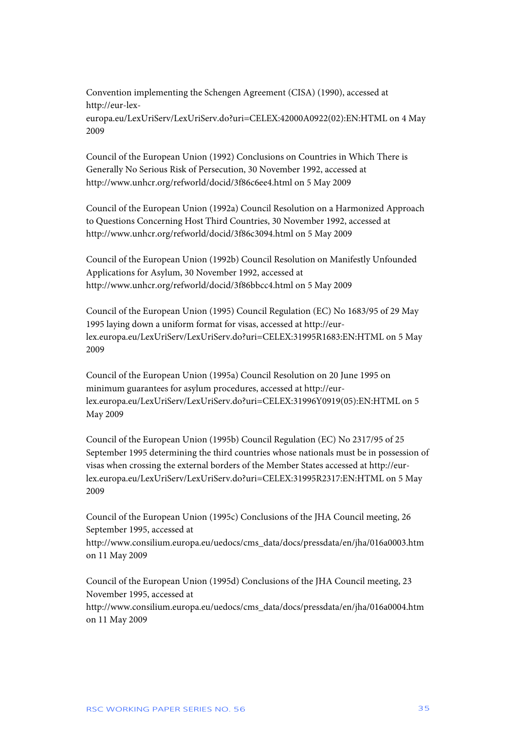Convention implementing the Schengen Agreement (CISA) (1990), accessed at http://eur-lexeuropa.eu/LexUriServ/LexUriServ.do?uri=CELEX:42000A0922(02):EN:HTML on 4 May 2009

Council of the European Union (1992) Conclusions on Countries in Which There is Generally No Serious Risk of Persecution, 30 November 1992, accessed at http://www.unhcr.org/refworld/docid/3f86c6ee4.html on 5 May 2009

Council of the European Union (1992a) Council Resolution on a Harmonized Approach to Questions Concerning Host Third Countries, 30 November 1992, accessed at http://www.unhcr.org/refworld/docid/3f86c3094.html on 5 May 2009

Council of the European Union (1992b) Council Resolution on Manifestly Unfounded Applications for Asylum, 30 November 1992, accessed at http://www.unhcr.org/refworld/docid/3f86bbcc4.html on 5 May 2009

Council of the European Union (1995) Council Regulation (EC) No 1683/95 of 29 May 1995 laying down a uniform format for visas, accessed at http://eurlex.europa.eu/LexUriServ/LexUriServ.do?uri=CELEX:31995R1683:EN:HTML on 5 May 2009

Council of the European Union (1995a) Council Resolution on 20 June 1995 on minimum guarantees for asylum procedures, accessed at http://eurlex.europa.eu/LexUriServ/LexUriServ.do?uri=CELEX:31996Y0919(05):EN:HTML on 5 May 2009

Council of the European Union (1995b) Council Regulation (EC) No 2317/95 of 25 September 1995 determining the third countries whose nationals must be in possession of visas when crossing the external borders of the Member States accessed at http://eurlex.europa.eu/LexUriServ/LexUriServ.do?uri=CELEX:31995R2317:EN:HTML on 5 May 2009

Council of the European Union (1995c) Conclusions of the JHA Council meeting, 26 September 1995, accessed at

http://www.consilium.europa.eu/uedocs/cms\_data/docs/pressdata/en/jha/016a0003.htm on 11 May 2009

Council of the European Union (1995d) Conclusions of the JHA Council meeting, 23 November 1995, accessed at http://www.consilium.europa.eu/uedocs/cms\_data/docs/pressdata/en/jha/016a0004.htm on 11 May 2009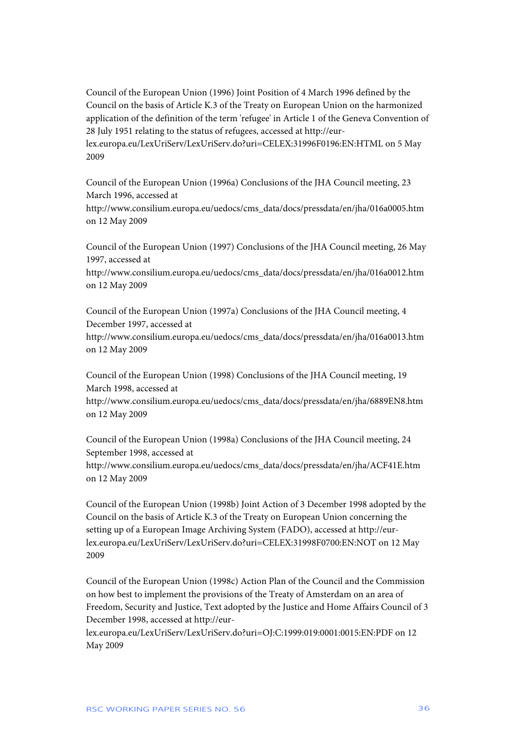Council of the European Union (1996) Joint Position of 4 March 1996 defined by the Council on the basis of Article K.3 of the Treaty on European Union on the harmonized application of the definition of the term 'refugee' in Article 1 of the Geneva Convention of 28 July 1951 relating to the status of refugees, accessed at http://eur-

lex.europa.eu/LexUriServ/LexUriServ.do?uri=CELEX:31996F0196:EN:HTML on 5 May 2009

Council of the European Union (1996a) Conclusions of the JHA Council meeting, 23 March 1996, accessed at

http://www.consilium.europa.eu/uedocs/cms\_data/docs/pressdata/en/jha/016a0005.htm on 12 May 2009

Council of the European Union (1997) Conclusions of the JHA Council meeting, 26 May 1997, accessed at

http://www.consilium.europa.eu/uedocs/cms\_data/docs/pressdata/en/jha/016a0012.htm on 12 May 2009

Council of the European Union (1997a) Conclusions of the JHA Council meeting, 4 December 1997, accessed at http://www.consilium.europa.eu/uedocs/cms\_data/docs/pressdata/en/jha/016a0013.htm on 12 May 2009

Council of the European Union (1998) Conclusions of the JHA Council meeting, 19 March 1998, accessed at

http://www.consilium.europa.eu/uedocs/cms\_data/docs/pressdata/en/jha/6889EN8.htm on 12 May 2009

Council of the European Union (1998a) Conclusions of the JHA Council meeting, 24 September 1998, accessed at

http://www.consilium.europa.eu/uedocs/cms\_data/docs/pressdata/en/jha/ACF41E.htm on 12 May 2009

Council of the European Union (1998b) Joint Action of 3 December 1998 adopted by the Council on the basis of Article K.3 of the Treaty on European Union concerning the setting up of a European Image Archiving System (FADO), accessed at http://eurlex.europa.eu/LexUriServ/LexUriServ.do?uri=CELEX:31998F0700:EN:NOT on 12 May 2009

Council of the European Union (1998c) Action Plan of the Council and the Commission on how best to implement the provisions of the Treaty of Amsterdam on an area of Freedom, Security and Justice, Text adopted by the Justice and Home Affairs Council of 3 December 1998, accessed at http://eur-

lex.europa.eu/LexUriServ/LexUriServ.do?uri=OJ:C:1999:019:0001:0015:EN:PDF on 12 May 2009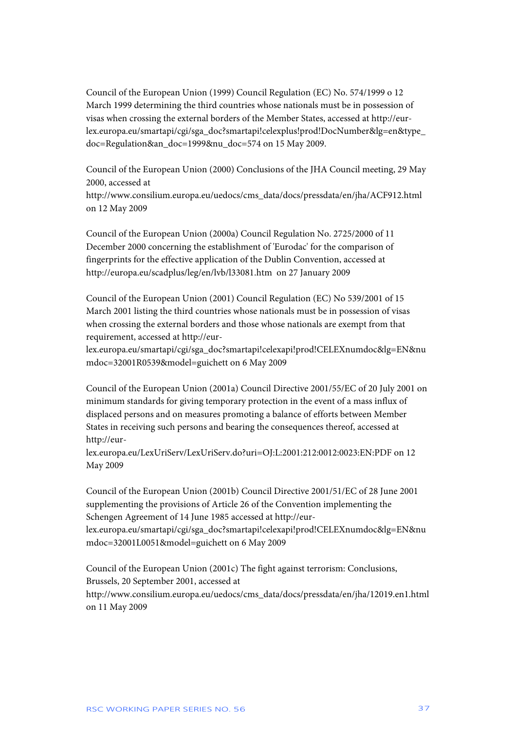Council of the European Union (1999) Council Regulation (EC) No. 574/1999 o 12 March 1999 determining the third countries whose nationals must be in possession of visas when crossing the external borders of the Member States, accessed at http://eurlex.europa.eu/smartapi/cgi/sga\_doc?smartapi!celexplus!prod!DocNumber&lg=en&type\_ doc=Regulation&an\_doc=1999&nu\_doc=574 on 15 May 2009.

Council of the European Union (2000) Conclusions of the JHA Council meeting, 29 May 2000, accessed at

http://www.consilium.europa.eu/uedocs/cms\_data/docs/pressdata/en/jha/ACF912.html on 12 May 2009

Council of the European Union (2000a) Council Regulation No. 2725/2000 of 11 December 2000 concerning the establishment of 'Eurodac' for the comparison of fingerprints for the effective application of the Dublin Convention, accessed at http://europa.eu/scadplus/leg/en/lvb/l33081.htm on 27 January 2009

Council of the European Union (2001) Council Regulation (EC) No 539/2001 of 15 March 2001 listing the third countries whose nationals must be in possession of visas when crossing the external borders and those whose nationals are exempt from that requirement, accessed at http://eur-

lex.europa.eu/smartapi/cgi/sga\_doc?smartapi!celexapi!prod!CELEXnumdoc&lg=EN&nu mdoc=32001R0539&model=guichett on 6 May 2009

Council of the European Union (2001a) Council Directive 2001/55/EC of 20 July 2001 on minimum standards for giving temporary protection in the event of a mass influx of displaced persons and on measures promoting a balance of efforts between Member States in receiving such persons and bearing the consequences thereof, accessed at http://eur-

lex.europa.eu/LexUriServ/LexUriServ.do?uri=OJ:L:2001:212:0012:0023:EN:PDF on 12 May 2009

Council of the European Union (2001b) Council Directive 2001/51/EC of 28 June 2001 supplementing the provisions of Article 26 of the Convention implementing the Schengen Agreement of 14 June 1985 accessed at http://eurlex.europa.eu/smartapi/cgi/sga\_doc?smartapi!celexapi!prod!CELEXnumdoc&lg=EN&nu mdoc=32001L0051&model=guichett on 6 May 2009

Council of the European Union (2001c) The fight against terrorism: Conclusions, Brussels, 20 September 2001, accessed at http://www.consilium.europa.eu/uedocs/cms\_data/docs/pressdata/en/jha/12019.en1.html on 11 May 2009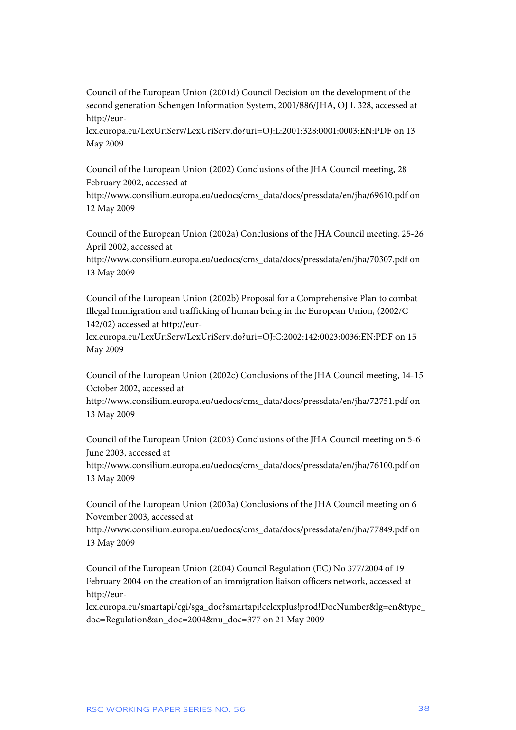Council of the European Union (2001d) Council Decision on the development of the second generation Schengen Information System, 2001/886/JHA, OJ L 328, accessed at http://eur-

lex.europa.eu/LexUriServ/LexUriServ.do?uri=OJ:L:2001:328:0001:0003:EN:PDF on 13 May 2009

Council of the European Union (2002) Conclusions of the JHA Council meeting, 28 February 2002, accessed at

http://www.consilium.europa.eu/uedocs/cms\_data/docs/pressdata/en/jha/69610.pdf on 12 May 2009

Council of the European Union (2002a) Conclusions of the JHA Council meeting, 25-26 April 2002, accessed at

http://www.consilium.europa.eu/uedocs/cms\_data/docs/pressdata/en/jha/70307.pdf on 13 May 2009

Council of the European Union (2002b) Proposal for a Comprehensive Plan to combat Illegal Immigration and trafficking of human being in the European Union, (2002/C 142/02) accessed at http://eur-

lex.europa.eu/LexUriServ/LexUriServ.do?uri=OJ:C:2002:142:0023:0036:EN:PDF on 15 May 2009

Council of the European Union (2002c) Conclusions of the JHA Council meeting, 14-15 October 2002, accessed at

http://www.consilium.europa.eu/uedocs/cms\_data/docs/pressdata/en/jha/72751.pdf on 13 May 2009

Council of the European Union (2003) Conclusions of the JHA Council meeting on 5-6 June 2003, accessed at

http://www.consilium.europa.eu/uedocs/cms\_data/docs/pressdata/en/jha/76100.pdf on 13 May 2009

Council of the European Union (2003a) Conclusions of the JHA Council meeting on 6 November 2003, accessed at

http://www.consilium.europa.eu/uedocs/cms\_data/docs/pressdata/en/jha/77849.pdf on 13 May 2009

Council of the European Union (2004) Council Regulation (EC) No 377/2004 of 19 February 2004 on the creation of an immigration liaison officers network, accessed at http://eur-

lex.europa.eu/smartapi/cgi/sga\_doc?smartapi!celexplus!prod!DocNumber&lg=en&type\_ doc=Regulation&an\_doc=2004&nu\_doc=377 on 21 May 2009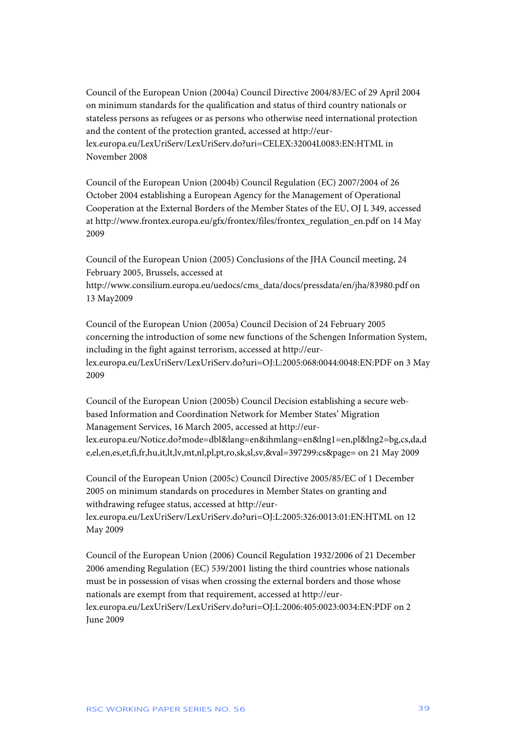Council of the European Union (2004a) Council Directive 2004/83/EC of 29 April 2004 on minimum standards for the qualification and status of third country nationals or stateless persons as refugees or as persons who otherwise need international protection and the content of the protection granted, accessed at http://eurlex.europa.eu/LexUriServ/LexUriServ.do?uri=CELEX:32004L0083:EN:HTML in November 2008

Council of the European Union (2004b) Council Regulation (EC) 2007/2004 of 26 October 2004 establishing a European Agency for the Management of Operational Cooperation at the External Borders of the Member States of the EU, OJ L 349, accessed at http://www.frontex.europa.eu/gfx/frontex/files/frontex\_regulation\_en.pdf on 14 May 2009

Council of the European Union (2005) Conclusions of the JHA Council meeting, 24 February 2005, Brussels, accessed at http://www.consilium.europa.eu/uedocs/cms\_data/docs/pressdata/en/jha/83980.pdf on 13 May2009

Council of the European Union (2005a) Council Decision of 24 February 2005 concerning the introduction of some new functions of the Schengen Information System, including in the fight against terrorism, accessed at http://eurlex.europa.eu/LexUriServ/LexUriServ.do?uri=OJ:L:2005:068:0044:0048:EN:PDF on 3 May 2009

Council of the European Union (2005b) Council Decision establishing a secure webbased Information and Coordination Network for Member States' Migration Management Services, 16 March 2005, accessed at http://eurlex.europa.eu/Notice.do?mode=dbl&lang=en&ihmlang=en&lng1=en,pl&lng2=bg,cs,da,d e,el,en,es,et,fi,fr,hu,it,lt,lv,mt,nl,pl,pt,ro,sk,sl,sv,&val=397299:cs&page= on 21 May 2009

Council of the European Union (2005c) Council Directive 2005/85/EC of 1 December 2005 on minimum standards on procedures in Member States on granting and withdrawing refugee status, accessed at http://eur-

lex.europa.eu/LexUriServ/LexUriServ.do?uri=OJ:L:2005:326:0013:01:EN:HTML on 12 May 2009

Council of the European Union (2006) Council Regulation 1932/2006 of 21 December 2006 amending Regulation (EC) 539/2001 listing the third countries whose nationals must be in possession of visas when crossing the external borders and those whose nationals are exempt from that requirement, accessed at http://eurlex.europa.eu/LexUriServ/LexUriServ.do?uri=OJ:L:2006:405:0023:0034:EN:PDF on 2 June 2009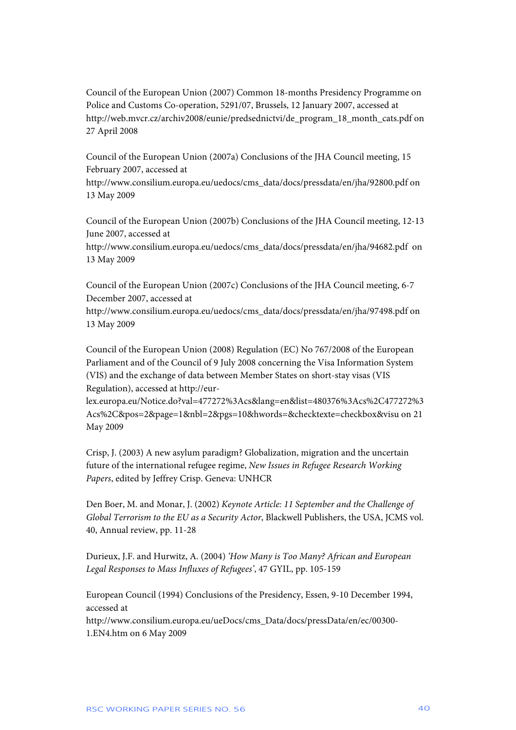Council of the European Union (2007) Common 18-months Presidency Programme on Police and Customs Co-operation, 5291/07, Brussels, 12 January 2007, accessed at http://web.mvcr.cz/archiv2008/eunie/predsednictvi/de\_program\_18\_month\_cats.pdf on 27 April 2008

Council of the European Union (2007a) Conclusions of the JHA Council meeting, 15 February 2007, accessed at http://www.consilium.europa.eu/uedocs/cms\_data/docs/pressdata/en/jha/92800.pdf on 13 May 2009

Council of the European Union (2007b) Conclusions of the JHA Council meeting, 12-13 June 2007, accessed at http://www.consilium.europa.eu/uedocs/cms\_data/docs/pressdata/en/jha/94682.pdf on 13 May 2009

Council of the European Union (2007c) Conclusions of the JHA Council meeting, 6-7 December 2007, accessed at http://www.consilium.europa.eu/uedocs/cms\_data/docs/pressdata/en/jha/97498.pdf on 13 May 2009

Council of the European Union (2008) Regulation (EC) No 767/2008 of the European Parliament and of the Council of 9 July 2008 concerning the Visa Information System (VIS) and the exchange of data between Member States on short-stay visas (VIS Regulation), accessed at http://eur-

lex.europa.eu/Notice.do?val=477272%3Acs&lang=en&list=480376%3Acs%2C477272%3 Acs%2C&pos=2&page=1&nbl=2&pgs=10&hwords=&checktexte=checkbox&visu on 21 May 2009

Crisp, J. (2003) A new asylum paradigm? Globalization, migration and the uncertain future of the international refugee regime, *New Issues in Refugee Research Working Papers*, edited by Jeffrey Crisp. Geneva: UNHCR

Den Boer, M. and Monar, J. (2002) *Keynote Article: 11 September and the Challenge of Global Terrorism to the EU as a Security Actor*, Blackwell Publishers, the USA, JCMS vol. 40, Annual review, pp. 11-28

Durieux, J.F. and Hurwitz, A. (2004) *'How Many is Too Many? African and European Legal Responses to Mass Influxes of Refugees'*, 47 GYIL, pp. 105-159

European Council (1994) Conclusions of the Presidency, Essen, 9-10 December 1994, accessed at

http://www.consilium.europa.eu/ueDocs/cms\_Data/docs/pressData/en/ec/00300- 1.EN4.htm on 6 May 2009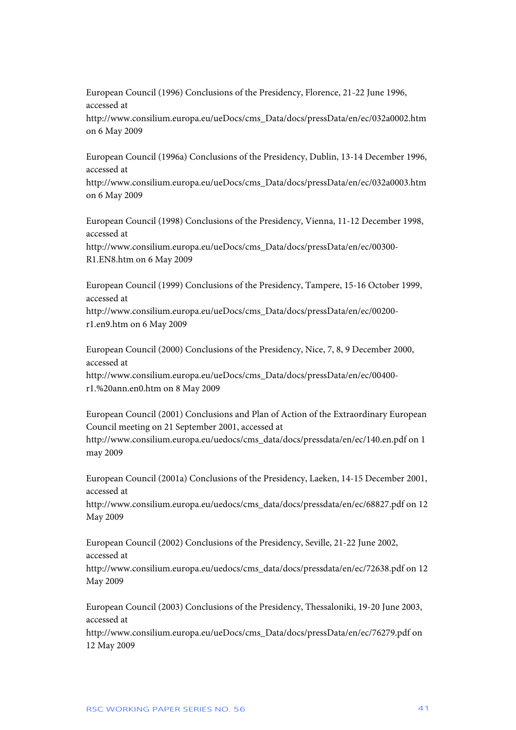European Council (1996) Conclusions of the Presidency, Florence, 21-22 June 1996, accessed at

http://www.consilium.europa.eu/ueDocs/cms\_Data/docs/pressData/en/ec/032a0002.htm on 6 May 2009

European Council (1996a) Conclusions of the Presidency, Dublin, 13-14 December 1996, accessed at

http://www.consilium.europa.eu/ueDocs/cms\_Data/docs/pressData/en/ec/032a0003.htm on 6 May 2009

European Council (1998) Conclusions of the Presidency, Vienna, 11-12 December 1998, accessed at

http://www.consilium.europa.eu/ueDocs/cms\_Data/docs/pressData/en/ec/00300- R1.EN8.htm on 6 May 2009

European Council (1999) Conclusions of the Presidency, Tampere, 15-16 October 1999, accessed at http://www.consilium.europa.eu/ueDocs/cms\_Data/docs/pressData/en/ec/00200 r1.en9.htm on 6 May 2009

European Council (2000) Conclusions of the Presidency, Nice, 7, 8, 9 December 2000, accessed at

http://www.consilium.europa.eu/ueDocs/cms\_Data/docs/pressData/en/ec/00400 r1.%20ann.en0.htm on 8 May 2009

European Council (2001) Conclusions and Plan of Action of the Extraordinary European Council meeting on 21 September 2001, accessed at

http://www.consilium.europa.eu/uedocs/cms\_data/docs/pressdata/en/ec/140.en.pdf on 1 may 2009

European Council (2001a) Conclusions of the Presidency, Laeken, 14-15 December 2001, accessed at

http://www.consilium.europa.eu/uedocs/cms\_data/docs/pressdata/en/ec/68827.pdf on 12 May 2009

European Council (2002) Conclusions of the Presidency, Seville, 21-22 June 2002, accessed at

http://www.consilium.europa.eu/uedocs/cms\_data/docs/pressdata/en/ec/72638.pdf on 12 May 2009

European Council (2003) Conclusions of the Presidency, Thessaloniki, 19-20 June 2003, accessed at

http://www.consilium.europa.eu/ueDocs/cms\_Data/docs/pressData/en/ec/76279.pdf on 12 May 2009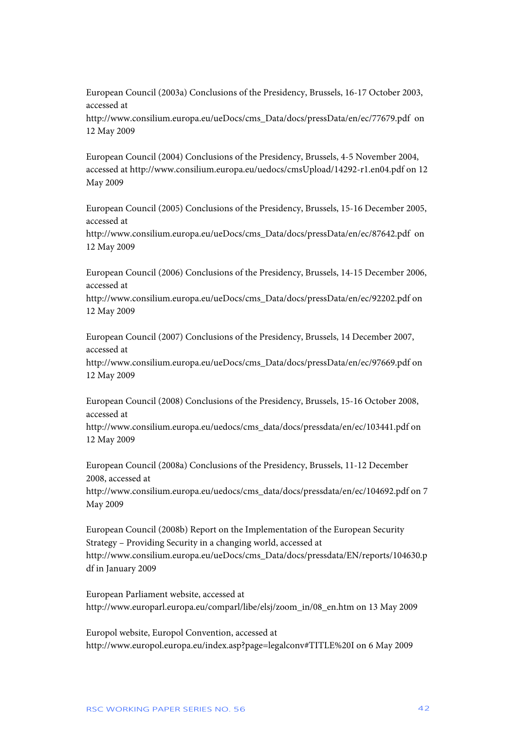European Council (2003a) Conclusions of the Presidency, Brussels, 16-17 October 2003, accessed at

http://www.consilium.europa.eu/ueDocs/cms\_Data/docs/pressData/en/ec/77679.pdf on 12 May 2009

European Council (2004) Conclusions of the Presidency, Brussels, 4-5 November 2004, accessed at http://www.consilium.europa.eu/uedocs/cmsUpload/14292-r1.en04.pdf on 12 May 2009

European Council (2005) Conclusions of the Presidency, Brussels, 15-16 December 2005, accessed at

http://www.consilium.europa.eu/ueDocs/cms\_Data/docs/pressData/en/ec/87642.pdf on 12 May 2009

European Council (2006) Conclusions of the Presidency, Brussels, 14-15 December 2006, accessed at

http://www.consilium.europa.eu/ueDocs/cms\_Data/docs/pressData/en/ec/92202.pdf on 12 May 2009

European Council (2007) Conclusions of the Presidency, Brussels, 14 December 2007, accessed at

http://www.consilium.europa.eu/ueDocs/cms\_Data/docs/pressData/en/ec/97669.pdf on 12 May 2009

European Council (2008) Conclusions of the Presidency, Brussels, 15-16 October 2008, accessed at

http://www.consilium.europa.eu/uedocs/cms\_data/docs/pressdata/en/ec/103441.pdf on 12 May 2009

European Council (2008a) Conclusions of the Presidency, Brussels, 11-12 December 2008, accessed at http://www.consilium.europa.eu/uedocs/cms\_data/docs/pressdata/en/ec/104692.pdf on 7 May 2009

European Council (2008b) Report on the Implementation of the European Security Strategy – Providing Security in a changing world, accessed at http://www.consilium.europa.eu/ueDocs/cms\_Data/docs/pressdata/EN/reports/104630.p df in January 2009

European Parliament website, accessed at http://www.europarl.europa.eu/comparl/libe/elsj/zoom\_in/08\_en.htm on 13 May 2009

Europol website, Europol Convention, accessed at http://www.europol.europa.eu/index.asp?page=legalconv#TITLE%20I on 6 May 2009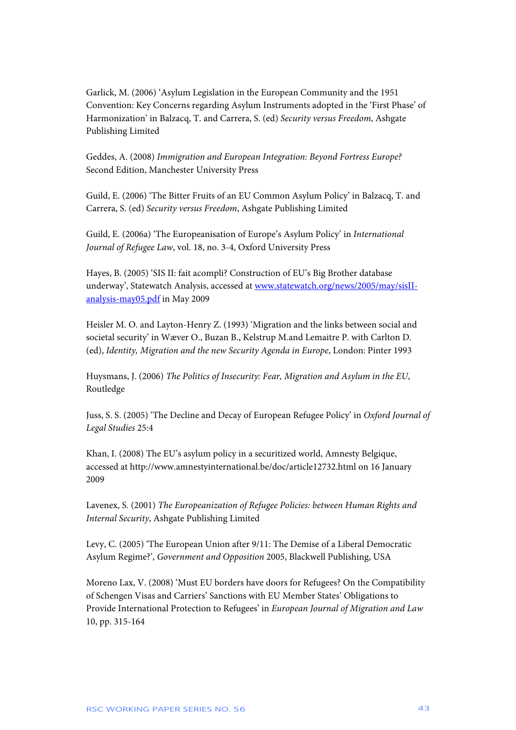Garlick, M. (2006) 'Asylum Legislation in the European Community and the 1951 Convention: Key Concerns regarding Asylum Instruments adopted in the 'First Phase' of Harmonization' in Balzacq, T. and Carrera, S. (ed) *Security versus Freedom*, Ashgate Publishing Limited

Geddes, A. (2008) *Immigration and European Integration: Beyond Fortress Europe?* Second Edition, Manchester University Press

Guild, E. (2006) 'The Bitter Fruits of an EU Common Asylum Policy' in Balzacq, T. and Carrera, S. (ed) *Security versus Freedom*, Ashgate Publishing Limited

Guild, E. (2006a) 'The Europeanisation of Europe's Asylum Policy' in *International Journal of Refugee Law*, vol. 18, no. 3-4, Oxford University Press

Hayes, B. (2005) 'SIS II: fait acompli? Construction of EU's Big Brother database underway', Statewatch Analysis, accessed at www.statewatch.org/news/2005/may/sisIIanalysis-may05.pdf in May 2009

Heisler M. O. and Layton-Henry Z. (1993) 'Migration and the links between social and societal security' in Wæver O., Buzan B., Kelstrup M.and Lemaitre P. with Carlton D. (ed), *Identity, Migration and the new Security Agenda in Europe*, London: Pinter 1993

Huysmans, J. (2006) *The Politics of Insecurity: Fear, Migration and Asylum in the EU*, Routledge

Juss, S. S. (2005) 'The Decline and Decay of European Refugee Policy' in *Oxford Journal of Legal Studies* 25:4

Khan, I. (2008) The EU's asylum policy in a securitized world, Amnesty Belgique, accessed at http://www.amnestyinternational.be/doc/article12732.html on 16 January 2009

Lavenex, S. (2001) *The Europeanization of Refugee Policies: between Human Rights and Internal Security*, Ashgate Publishing Limited

Levy, C. (2005) 'The European Union after 9/11: The Demise of a Liberal Democratic Asylum Regime?', *Government and Opposition* 2005, Blackwell Publishing, USA

Moreno Lax, V. (2008) 'Must EU borders have doors for Refugees? On the Compatibility of Schengen Visas and Carriers' Sanctions with EU Member States' Obligations to Provide International Protection to Refugees' in *European Journal of Migration and Law* 10, pp. 315-164